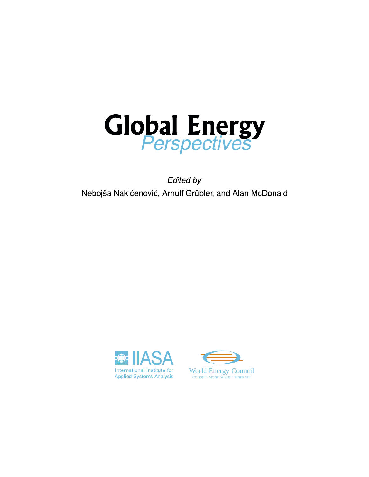

**Edited by** Nebojša Nakićenović, Arnulf Grübler, and Alan McDonald



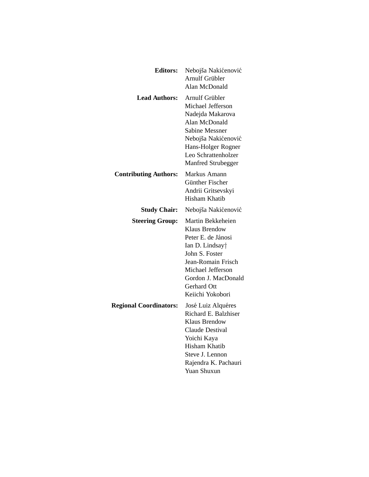| <b>Editors:</b>               | Nebojša Nakićenović<br><b>Arnulf Grübler</b><br>Alan McDonald                                                                                                                                            |  |
|-------------------------------|----------------------------------------------------------------------------------------------------------------------------------------------------------------------------------------------------------|--|
| <b>Lead Authors:</b>          | Arnulf Grübler<br>Michael Jefferson<br>Nadejda Makarova<br>Alan McDonald<br><b>Sabine Messner</b><br>Nebojša Nakićenović<br>Hans-Holger Rogner<br>Leo Schrattenholzer<br>Manfred Strubegger              |  |
| <b>Contributing Authors:</b>  | Markus Amann<br>Günther Fischer<br>Andrii Gritsevskyi<br><b>Hisham Khatib</b>                                                                                                                            |  |
| <b>Study Chair:</b>           | Nebojša Nakićenović                                                                                                                                                                                      |  |
| <b>Steering Group:</b>        | Martin Bekkeheien<br><b>Klaus Brendow</b><br>Peter E. de Jánosi<br>Ian D. Lindsay<br>John S. Foster<br>Jean-Romain Frisch<br>Michael Jefferson<br>Gordon J. MacDonald<br>Gerhard Ott<br>Keiichi Yokobori |  |
| <b>Regional Coordinators:</b> | José Luiz Alquéres<br>Richard E. Balzhiser<br><b>Klaus Brendow</b><br><b>Claude Destival</b><br>Yoichi Kaya<br><b>Hisham Khatib</b><br>Steve J. Lennon<br>Rajendra K. Pachauri<br><b>Yuan Shuxun</b>     |  |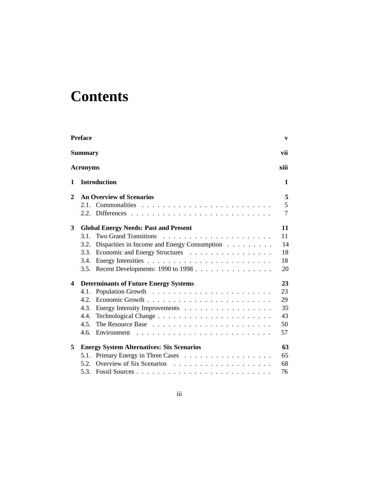# **Contents**

|                         | <b>Preface</b>                                       | V              |
|-------------------------|------------------------------------------------------|----------------|
|                         | <b>Summary</b>                                       | vii            |
|                         | <b>Acronyms</b>                                      | xiii           |
| 1                       | <b>Introduction</b>                                  | 1              |
| $\mathbf{2}$            | <b>An Overview of Scenarios</b>                      | 5              |
|                         |                                                      | 5              |
|                         |                                                      | $\overline{7}$ |
| 3                       | <b>Global Energy Needs: Past and Present</b>         | 11             |
|                         | <b>Two Grand Transitions</b><br>3.1.                 | 11             |
|                         | Disparities in Income and Energy Consumption<br>3.2. | 14             |
|                         | Economic and Energy Structures<br>3.3.               | 18             |
|                         | 3.4.                                                 | 18             |
|                         | Recent Developments: 1990 to 1998<br>3.5.            | 20             |
| $\overline{\mathbf{4}}$ | <b>Determinants of Future Energy Systems</b>         | 23             |
|                         | 4.1.                                                 | 23             |
|                         | 4.2.                                                 | 29             |
|                         | 4.3.<br>Energy Intensity Improvements                | 35             |
|                         | 4.4.                                                 | 43             |
|                         | 4.5.                                                 | 50             |
|                         | 4.6.                                                 | 57             |
| 5                       | <b>Energy System Alternatives: Six Scenarios</b>     | 63             |
|                         | Primary Energy in Three Cases<br>5.1.                | 65             |
|                         | 5.2.                                                 | 68             |
|                         | 5.3.                                                 | 76             |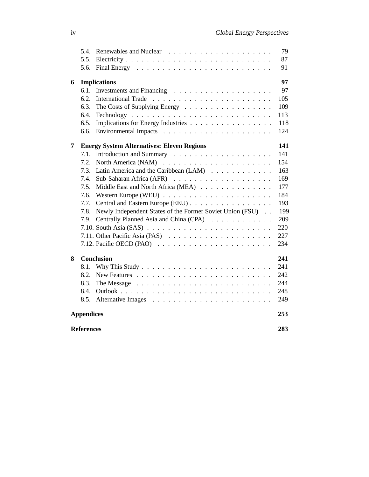|                          | 5.4.                |                                                                             | 79  |  |  |
|--------------------------|---------------------|-----------------------------------------------------------------------------|-----|--|--|
|                          | 5.5.                |                                                                             | 87  |  |  |
|                          | 5.6.                |                                                                             | 91  |  |  |
| 6                        | <b>Implications</b> |                                                                             |     |  |  |
|                          | 6.1.                |                                                                             | 97  |  |  |
|                          | 6.2.                |                                                                             | 105 |  |  |
|                          | 6.3.                | The Costs of Supplying Energy                                               | 109 |  |  |
|                          | 6.4.                |                                                                             | 113 |  |  |
|                          | 6.5.                | Implications for Energy Industries                                          | 118 |  |  |
|                          | 6.6.                |                                                                             | 124 |  |  |
| 7                        |                     | <b>Energy System Alternatives: Eleven Regions</b>                           | 141 |  |  |
|                          | 7.1.                |                                                                             | 141 |  |  |
|                          | 7.2.                |                                                                             | 154 |  |  |
|                          | 7.3.                | Latin America and the Caribbean (LAM)                                       | 163 |  |  |
|                          | 7.4.                |                                                                             | 169 |  |  |
|                          | 7.5.                | Middle East and North Africa (MEA)                                          | 177 |  |  |
|                          | 7.6.                |                                                                             | 184 |  |  |
|                          | 7.7.                | Central and Eastern Europe (EEU)                                            | 193 |  |  |
|                          | 7.8.                | Newly Independent States of the Former Soviet Union (FSU)                   | 199 |  |  |
|                          | 7.9.                | Centrally Planned Asia and China (CPA)                                      | 209 |  |  |
|                          |                     |                                                                             | 220 |  |  |
|                          |                     | 7.11. Other Pacific Asia (PAS) $\ldots \ldots \ldots \ldots \ldots \ldots$  | 227 |  |  |
|                          |                     | 7.12. Pacific OECD (PAO) $\ldots \ldots \ldots \ldots \ldots \ldots \ldots$ | 234 |  |  |
| 8                        |                     | <b>Conclusion</b>                                                           | 241 |  |  |
|                          | 8.1.                |                                                                             | 241 |  |  |
|                          | 8.2.                |                                                                             | 242 |  |  |
|                          | 8.3.                |                                                                             | 244 |  |  |
|                          | 8.4.                |                                                                             | 248 |  |  |
|                          | 8.5.                |                                                                             | 249 |  |  |
|                          | <b>Appendices</b>   |                                                                             | 253 |  |  |
| 283<br><b>References</b> |                     |                                                                             |     |  |  |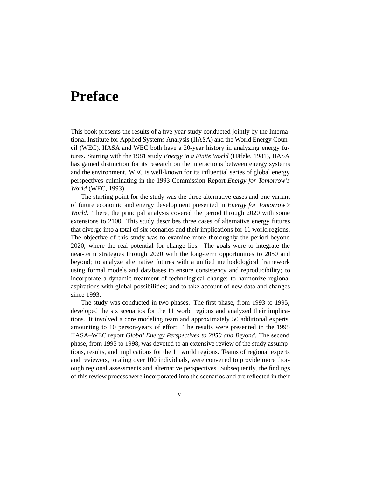## **Preface**

This book presents the results of a five-year study conducted jointly by the International Institute for Applied Systems Analysis (IIASA) and the World Energy Council (WEC). IIASA and WEC both have a 20-year history in analyzing energy futures. Starting with the 1981 study *Energy in a Finite World* (Häfele, 1981), IIASA has gained distinction for its research on the interactions between energy systems and the environment. WEC is well-known for its influential series of global energy perspectives culminating in the 1993 Commission Report *Energy for Tomorrow's World* (WEC, 1993).

The starting point for the study was the three alternative cases and one variant of future economic and energy development presented in *Energy for Tomorrow's World*. There, the principal analysis covered the period through 2020 with some extensions to 2100. This study describes three cases of alternative energy futures that diverge into a total of six scenarios and their implications for 11 world regions. The objective of this study was to examine more thoroughly the period beyond 2020, where the real potential for change lies. The goals were to integrate the near-term strategies through 2020 with the long-term opportunities to 2050 and beyond; to analyze alternative futures with a unified methodological framework using formal models and databases to ensure consistency and reproducibility; to incorporate a dynamic treatment of technological change; to harmonize regional aspirations with global possibilities; and to take account of new data and changes since 1993.

The study was conducted in two phases. The first phase, from 1993 to 1995, developed the six scenarios for the 11 world regions and analyzed their implications. It involved a core modeling team and approximately 50 additional experts, amounting to 10 person-years of effort. The results were presented in the 1995 IIASA–WEC report *Global Energy Perspectives to 2050 and Beyond*. The second phase, from 1995 to 1998, was devoted to an extensive review of the study assumptions, results, and implications for the 11 world regions. Teams of regional experts and reviewers, totaling over 100 individuals, were convened to provide more thorough regional assessments and alternative perspectives. Subsequently, the findings of this review process were incorporated into the scenarios and are reflected in their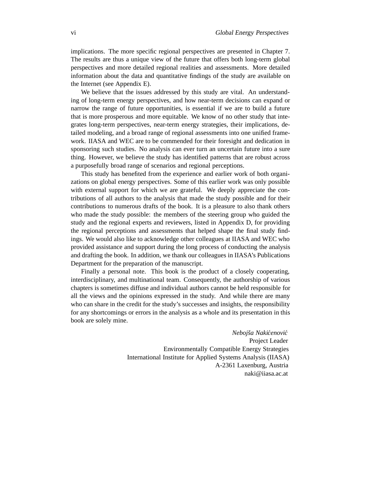implications. The more specific regional perspectives are presented in Chapter 7. The results are thus a unique view of the future that offers both long-term global perspectives and more detailed regional realities and assessments. More detailed information about the data and quantitative findings of the study are available on the Internet (see Appendix E).

We believe that the issues addressed by this study are vital. An understanding of long-term energy perspectives, and how near-term decisions can expand or narrow the range of future opportunities, is essential if we are to build a future that is more prosperous and more equitable. We know of no other study that integrates long-term perspectives, near-term energy strategies, their implications, detailed modeling, and a broad range of regional assessments into one unified framework. IIASA and WEC are to be commended for their foresight and dedication in sponsoring such studies. No analysis can ever turn an uncertain future into a sure thing. However, we believe the study has identified patterns that are robust across a purposefully broad range of scenarios and regional perceptions.

This study has benefited from the experience and earlier work of both organizations on global energy perspectives. Some of this earlier work was only possible with external support for which we are grateful. We deeply appreciate the contributions of all authors to the analysis that made the study possible and for their contributions to numerous drafts of the book. It is a pleasure to also thank others who made the study possible: the members of the steering group who guided the study and the regional experts and reviewers, listed in Appendix D, for providing the regional perceptions and assessments that helped shape the final study findings. We would also like to acknowledge other colleagues at IIASA and WEC who provided assistance and support during the long process of conducting the analysis and drafting the book. In addition, we thank our colleagues in IIASA's Publications Department for the preparation of the manuscript.

Finally a personal note. This book is the product of a closely cooperating, interdisciplinary, and multinational team. Consequently, the authorship of various chapters is sometimes diffuse and individual authors cannot be held responsible for all the views and the opinions expressed in the study. And while there are many who can share in the credit for the study's successes and insights, the responsibility for any shortcomings or errors in the analysis as a whole and its presentation in this book are solely mine.

> *Nebojˇsa Nakicenovi ´ c´* Project Leader Environmentally Compatible Energy Strategies International Institute for Applied Systems Analysis (IIASA) A-2361 Laxenburg, Austria naki@iiasa.ac.at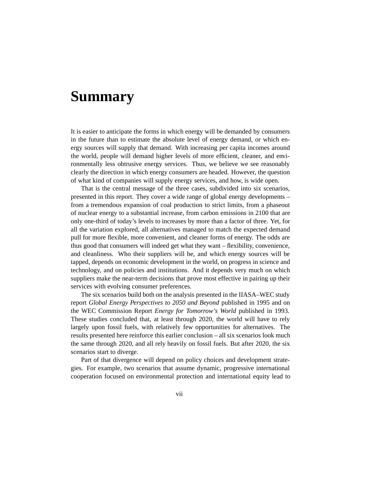## **Summary**

It is easier to anticipate the forms in which energy will be demanded by consumers in the future than to estimate the absolute level of energy demand, or which energy sources will supply that demand. With increasing per capita incomes around the world, people will demand higher levels of more efficient, cleaner, and environmentally less obtrusive energy services. Thus, we believe we see reasonably clearly the direction in which energy consumers are headed. However, the question of what kind of companies will supply energy services, and how, is wide open.

That is the central message of the three cases, subdivided into six scenarios, presented in this report. They cover a wide range of global energy developments – from a tremendous expansion of coal production to strict limits, from a phaseout of nuclear energy to a substantial increase, from carbon emissions in 2100 that are only one-third of today's levels to increases by more than a factor of three. Yet, for all the variation explored, all alternatives managed to match the expected demand pull for more flexible, more convenient, and cleaner forms of energy. The odds are thus good that consumers will indeed get what they want – flexibility, convenience, and cleanliness. Who their suppliers will be, and which energy sources will be tapped, depends on economic development in the world, on progress in science and technology, and on policies and institutions. And it depends very much on which suppliers make the near-term decisions that prove most effective in pairing up their services with evolving consumer preferences.

The six scenarios build both on the analysis presented in the IIASA–WEC study report *Global Energy Perspectives to 2050 and Beyond* published in 1995 and on the WEC Commission Report *Energy for Tomorrow's World* published in 1993. These studies concluded that, at least through 2020, the world will have to rely largely upon fossil fuels, with relatively few opportunities for alternatives. The results presented here reinforce this earlier conclusion – all six scenarios look much the same through 2020, and all rely heavily on fossil fuels. But after 2020, the six scenarios start to diverge.

Part of that divergence will depend on policy choices and development strategies. For example, two scenarios that assume dynamic, progressive international cooperation focused on environmental protection and international equity lead to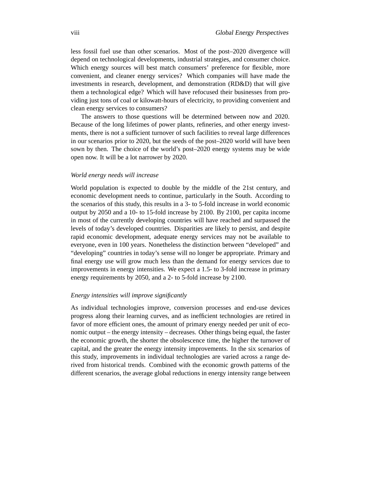less fossil fuel use than other scenarios. Most of the post–2020 divergence will depend on technological developments, industrial strategies, and consumer choice. Which energy sources will best match consumers' preference for flexible, more convenient, and cleaner energy services? Which companies will have made the investments in research, development, and demonstration (RD&D) that will give them a technological edge? Which will have refocused their businesses from providing just tons of coal or kilowatt-hours of electricity, to providing convenient and clean energy services to consumers?

The answers to those questions will be determined between now and 2020. Because of the long lifetimes of power plants, refineries, and other energy investments, there is not a sufficient turnover of such facilities to reveal large differences in our scenarios prior to 2020, but the seeds of the post–2020 world will have been sown by then. The choice of the world's post–2020 energy systems may be wide open now. It will be a lot narrower by 2020.

### *World energy needs will increase*

World population is expected to double by the middle of the 21st century, and economic development needs to continue, particularly in the South. According to the scenarios of this study, this results in a 3- to 5-fold increase in world economic output by 2050 and a 10- to 15-fold increase by 2100. By 2100, per capita income in most of the currently developing countries will have reached and surpassed the levels of today's developed countries. Disparities are likely to persist, and despite rapid economic development, adequate energy services may not be available to everyone, even in 100 years. Nonetheless the distinction between "developed" and "developing" countries in today's sense will no longer be appropriate. Primary and final energy use will grow much less than the demand for energy services due to improvements in energy intensities. We expect a 1.5- to 3-fold increase in primary energy requirements by 2050, and a 2- to 5-fold increase by 2100.

### *Energy intensities will improve significantly*

As individual technologies improve, conversion processes and end-use devices progress along their learning curves, and as inefficient technologies are retired in favor of more efficient ones, the amount of primary energy needed per unit of economic output – the energy intensity – decreases. Other things being equal, the faster the economic growth, the shorter the obsolescence time, the higher the turnover of capital, and the greater the energy intensity improvements. In the six scenarios of this study, improvements in individual technologies are varied across a range derived from historical trends. Combined with the economic growth patterns of the different scenarios, the average global reductions in energy intensity range between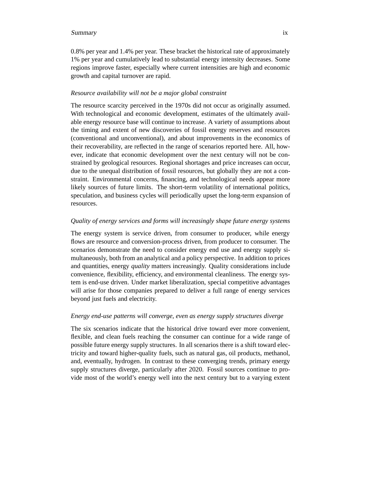### Summary ix

0.8% per year and 1.4% per year. These bracket the historical rate of approximately 1% per year and cumulatively lead to substantial energy intensity decreases. Some regions improve faster, especially where current intensities are high and economic growth and capital turnover are rapid.

### *Resource availability will not be a major global constraint*

The resource scarcity perceived in the 1970s did not occur as originally assumed. With technological and economic development, estimates of the ultimately available energy resource base will continue to increase. A variety of assumptions about the timing and extent of new discoveries of fossil energy reserves and resources (conventional and unconventional), and about improvements in the economics of their recoverability, are reflected in the range of scenarios reported here. All, however, indicate that economic development over the next century will not be constrained by geological resources. Regional shortages and price increases can occur, due to the unequal distribution of fossil resources, but globally they are not a constraint. Environmental concerns, financing, and technological needs appear more likely sources of future limits. The short-term volatility of international politics, speculation, and business cycles will periodically upset the long-term expansion of resources.

### *Quality of energy services and forms will increasingly shape future energy systems*

The energy system is service driven, from consumer to producer, while energy flows are resource and conversion-process driven, from producer to consumer. The scenarios demonstrate the need to consider energy end use and energy supply simultaneously, both from an analytical and a policy perspective. In addition to prices and quantities, energy *quality* matters increasingly. Quality considerations include convenience, flexibility, efficiency, and environmental cleanliness. The energy system is end-use driven. Under market liberalization, special competitive advantages will arise for those companies prepared to deliver a full range of energy services beyond just fuels and electricity.

### *Energy end-use patterns will converge, even as energy supply structures diverge*

The six scenarios indicate that the historical drive toward ever more convenient, flexible, and clean fuels reaching the consumer can continue for a wide range of possible future energy supply structures. In all scenarios there is a shift toward electricity and toward higher-quality fuels, such as natural gas, oil products, methanol, and, eventually, hydrogen. In contrast to these converging trends, primary energy supply structures diverge, particularly after 2020. Fossil sources continue to provide most of the world's energy well into the next century but to a varying extent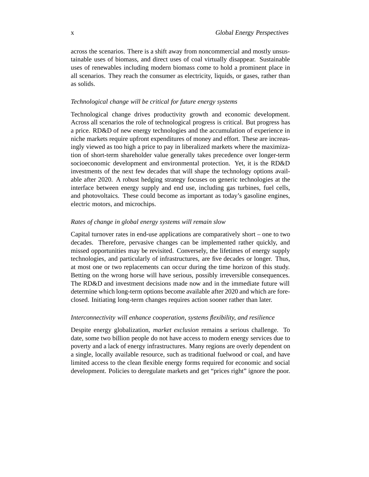across the scenarios. There is a shift away from noncommercial and mostly unsustainable uses of biomass, and direct uses of coal virtually disappear. Sustainable uses of renewables including modern biomass come to hold a prominent place in all scenarios. They reach the consumer as electricity, liquids, or gases, rather than as solids.

### *Technological change will be critical for future energy systems*

Technological change drives productivity growth and economic development. Across all scenarios the role of technological progress is critical. But progress has a price. RD&D of new energy technologies and the accumulation of experience in niche markets require upfront expenditures of money and effort. These are increasingly viewed as too high a price to pay in liberalized markets where the maximization of short-term shareholder value generally takes precedence over longer-term socioeconomic development and environmental protection. Yet, it is the RD&D investments of the next few decades that will shape the technology options available after 2020. A robust hedging strategy focuses on generic technologies at the interface between energy supply and end use, including gas turbines, fuel cells, and photovoltaics. These could become as important as today's gasoline engines, electric motors, and microchips.

### *Rates of change in global energy systems will remain slow*

Capital turnover rates in end-use applications are comparatively short – one to two decades. Therefore, pervasive changes can be implemented rather quickly, and missed opportunities may be revisited. Conversely, the lifetimes of energy supply technologies, and particularly of infrastructures, are five decades or longer. Thus, at most one or two replacements can occur during the time horizon of this study. Betting on the wrong horse will have serious, possibly irreversible consequences. The RD&D and investment decisions made now and in the immediate future will determine which long-term options become available after 2020 and which are foreclosed. Initiating long-term changes requires action sooner rather than later.

### *Interconnectivity will enhance cooperation, systems flexibility, and resilience*

Despite energy globalization, *market exclusion* remains a serious challenge. To date, some two billion people do not have access to modern energy services due to poverty and a lack of energy infrastructures. Many regions are overly dependent on a single, locally available resource, such as traditional fuelwood or coal, and have limited access to the clean flexible energy forms required for economic and social development. Policies to deregulate markets and get "prices right" ignore the poor.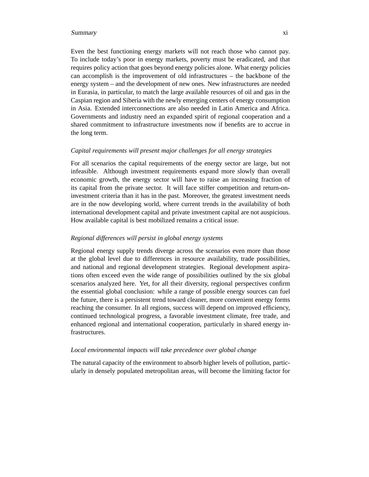#### Summary xi

Even the best functioning energy markets will not reach those who cannot pay. To include today's poor in energy markets, poverty must be eradicated, and that requires policy action that goes beyond energy policies alone. What energy policies can accomplish is the improvement of old infrastructures – the backbone of the energy system – and the development of new ones. New infrastructures are needed in Eurasia, in particular, to match the large available resources of oil and gas in the Caspian region and Siberia with the newly emerging centers of energy consumption in Asia. Extended interconnections are also needed in Latin America and Africa. Governments and industry need an expanded spirit of regional cooperation and a shared commitment to infrastructure investments now if benefits are to accrue in the long term.

### *Capital requirements will present major challenges for all energy strategies*

For all scenarios the capital requirements of the energy sector are large, but not infeasible. Although investment requirements expand more slowly than overall economic growth, the energy sector will have to raise an increasing fraction of its capital from the private sector. It will face stiffer competition and return-oninvestment criteria than it has in the past. Moreover, the greatest investment needs are in the now developing world, where current trends in the availability of both international development capital and private investment capital are not auspicious. How available capital is best mobilized remains a critical issue.

### *Regional differences will persist in global energy systems*

Regional energy supply trends diverge across the scenarios even more than those at the global level due to differences in resource availability, trade possibilities, and national and regional development strategies. Regional development aspirations often exceed even the wide range of possibilities outlined by the six global scenarios analyzed here. Yet, for all their diversity, regional perspectives confirm the essential global conclusion: while a range of possible energy sources can fuel the future, there is a persistent trend toward cleaner, more convenient energy forms reaching the consumer. In all regions, success will depend on improved efficiency, continued technological progress, a favorable investment climate, free trade, and enhanced regional and international cooperation, particularly in shared energy infrastructures.

### *Local environmental impacts will take precedence over global change*

The natural capacity of the environment to absorb higher levels of pollution, particularly in densely populated metropolitan areas, will become the limiting factor for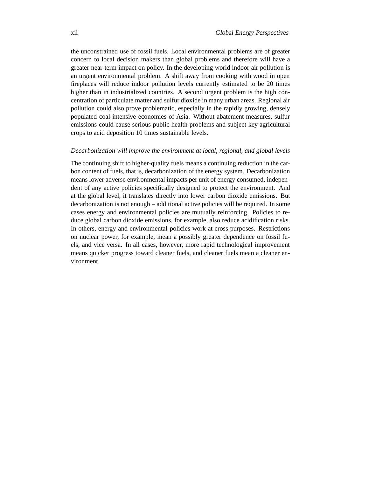the unconstrained use of fossil fuels. Local environmental problems are of greater concern to local decision makers than global problems and therefore will have a greater near-term impact on policy. In the developing world indoor air pollution is an urgent environmental problem. A shift away from cooking with wood in open fireplaces will reduce indoor pollution levels currently estimated to be 20 times higher than in industrialized countries. A second urgent problem is the high concentration of particulate matter and sulfur dioxide in many urban areas. Regional air pollution could also prove problematic, especially in the rapidly growing, densely populated coal-intensive economies of Asia. Without abatement measures, sulfur emissions could cause serious public health problems and subject key agricultural crops to acid deposition 10 times sustainable levels.

### *Decarbonization will improve the environment at local, regional, and global levels*

The continuing shift to higher-quality fuels means a continuing reduction in the carbon content of fuels, that is, decarbonization of the energy system. Decarbonization means lower adverse environmental impacts per unit of energy consumed, independent of any active policies specifically designed to protect the environment. And at the global level, it translates directly into lower carbon dioxide emissions. But decarbonization is not enough – additional active policies will be required. In some cases energy and environmental policies are mutually reinforcing. Policies to reduce global carbon dioxide emissions, for example, also reduce acidification risks. In others, energy and environmental policies work at cross purposes. Restrictions on nuclear power, for example, mean a possibly greater dependence on fossil fuels, and vice versa. In all cases, however, more rapid technological improvement means quicker progress toward cleaner fuels, and cleaner fuels mean a cleaner environment.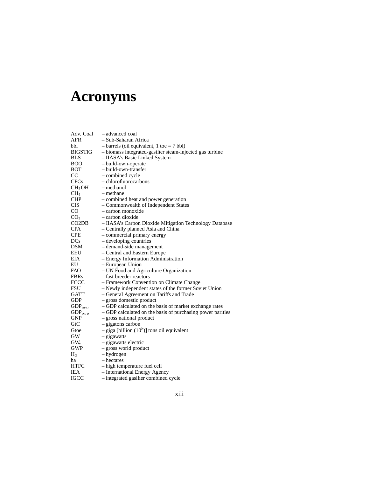# **Acronyms**

| Adv. Coal                | - advanced coal                                            |
|--------------------------|------------------------------------------------------------|
| AFR                      | – Sub-Saharan Africa                                       |
| bbl                      | $-$ barrels (oil equivalent, 1 toe $= 7$ bbl)              |
| <b>BIGSTIG</b>           | - biomass integrated-gasifier steam-injected gas turbine   |
| <b>BLS</b>               | - IIASA's Basic Linked System                              |
| <b>BOO</b>               | - build-own-operate                                        |
| <b>BOT</b>               | – build-own-transfer                                       |
| CC                       | - combined cycle                                           |
| <b>CFCs</b>              | - chlorofluorocarbons                                      |
| CH <sub>3</sub> OH       | - methanol                                                 |
| $CH_4$                   | – methane                                                  |
| <b>CHP</b>               | - combined heat and power generation                       |
| <b>CIS</b>               | - Commonwealth of Independent States                       |
| CO                       | - carbon monoxide                                          |
| CO <sub>2</sub>          | - carbon dioxide                                           |
| CO <sub>2</sub> DB       | - IIASA's Carbon Dioxide Mitigation Technology Database    |
| <b>CPA</b>               | - Centrally planned Asia and China                         |
| <b>CPE</b>               | - commercial primary energy                                |
| <b>DCs</b>               | - developing countries                                     |
| DSM                      | - demand-side management                                   |
| EEU                      | - Central and Eastern Europe                               |
| EIA                      | - Energy Information Administration                        |
| EU                       | - European Union                                           |
| <b>FAO</b>               | - UN Food and Agriculture Organization                     |
| <b>FBRs</b>              | - fast breeder reactors                                    |
| <b>FCCC</b>              | - Framework Convention on Climate Change                   |
| FSU                      | - Newly independent states of the former Soviet Union      |
| <b>GATT</b>              | - General Agreement on Tariffs and Trade                   |
| GDP                      | - gross domestic product                                   |
| GDP <sub>mer</sub>       | - GDP calculated on the basis of market exchange rates     |
| $GDPppp$                 | - GDP calculated on the basis of purchasing power parities |
| <b>GNP</b>               | - gross national product                                   |
| G <sub>t</sub> C         | - gigatons carbon                                          |
| Gtoe                     | $-$ giga [billion (10 <sup>9</sup> )] tons oil equivalent  |
| GW                       | - gigawatts                                                |
| $\mathrm{GW}_\mathrm{e}$ | - gigawatts electric                                       |
| GWP                      | - gross world product                                      |
| H <sub>2</sub>           | - hydrogen                                                 |
| ha                       | – hectares                                                 |
| <b>HTFC</b>              | - high temperature fuel cell                               |
| IEA                      | - International Energy Agency                              |
| T                        |                                                            |

IGCC – integrated gasifier combined cycle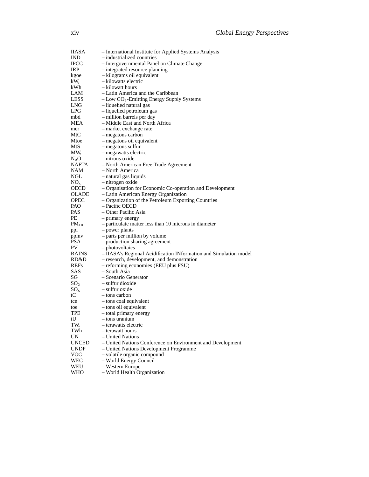| <b>IIASA</b>      | - International Institute for Applied Systems Analysis            |
|-------------------|-------------------------------------------------------------------|
| <b>IND</b>        | - industrialized countries                                        |
| <b>IPCC</b>       | - Intergovernmental Panel on Climate Change                       |
| <b>IRP</b>        | - integrated resource planning                                    |
| kgoe              | - kilograms oil equivalent                                        |
| $kW_e$            | - kilowatts electric                                              |
| kWh               | - kilowatt hours                                                  |
| LAM               | – Latin America and the Caribbean                                 |
| LESS              | $-$ Low $CO2$ -Emitting Energy Supply Systems                     |
| LNG.              | - liquefied natural gas                                           |
| LPG.              | - liquefied petroleum gas                                         |
| mbd               | - million barrels per day                                         |
| MEA               | - Middle East and North Africa                                    |
| mer               | - market exchange rate                                            |
| MtC               | - megatons carbon                                                 |
| Mtoe              | - megatons oil equivalent                                         |
| MtS               | - megatons sulfur                                                 |
| $MW_{e}$          | - megawatts electric                                              |
| $N_2O$            | - nitrous oxide                                                   |
| NAFTA             |                                                                   |
| NAM               | - North American Free Trade Agreement                             |
|                   | - North America                                                   |
| NGL<br>$NO_{x}$   | - natural gas liquids                                             |
|                   | - nitrogen oxide                                                  |
| OECD              | - Organisation for Economic Co-operation and Development          |
| <b>OLADE</b>      | - Latin American Energy Organization                              |
| OPEC              | - Organization of the Petroleum Exporting Countries               |
| PAO               | - Pacific OECD                                                    |
| PAS               | – Other Pacific Asia                                              |
| PЕ                | - primary energy                                                  |
| $PM_{10}$         | - particulate matter less than 10 microns in diameter             |
| ppl               | - power plants                                                    |
| ppmy              | - parts per million by volume                                     |
| PSA               | - production sharing agreement                                    |
| PV                | - photovoltaics                                                   |
| <b>RAINS</b>      | - IIASA's Regional Acidification INformation and Simulation model |
| RD&D              | - research, development, and demonstration                        |
| <b>REFs</b>       | - reforming economies (EEU plus FSU)                              |
| SAS               | - South Asia                                                      |
| SG                | - Scenario Generator                                              |
| $\mathrm{SO}_2^-$ | - sulfur dioxide                                                  |
| $SO_{x}$          | - sulfur oxide                                                    |
| tC                | – tons carbon                                                     |
| tce               | - tons coal equivalent                                            |
| toe               | - tons oil equivalent                                             |
| TPE               | – total primary energy                                            |
| tU                | – tons uranium                                                    |
| $TW_{e}$          | - terawatts electric                                              |
| TWh               | – terawatt hours                                                  |
| UN                | – United Nations                                                  |
| <b>UNCED</b>      | - United Nations Conference on Environment and Development        |
| <b>UNDP</b>       | - United Nations Development Programme                            |
| <b>VOC</b>        | - volatile organic compound                                       |
| WEC               | - World Energy Council                                            |
| WEU               | - Western Europe                                                  |

WHO – World Health Organization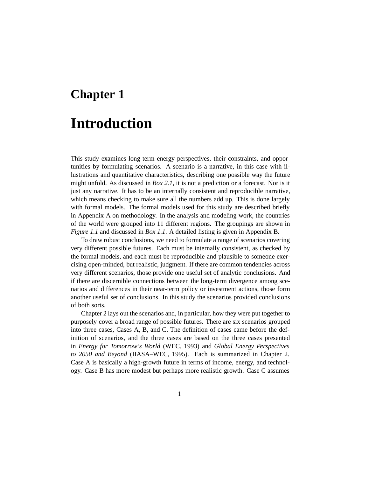### **Chapter 1**

## **Introduction**

This study examines long-term energy perspectives, their constraints, and opportunities by formulating scenarios. A scenario is a narrative, in this case with illustrations and quantitative characteristics, describing one possible way the future might unfold. As discussed in *Box 2.1*, it is not a prediction or a forecast. Nor is it just any narrative. It has to be an internally consistent and reproducible narrative, which means checking to make sure all the numbers add up. This is done largely with formal models. The formal models used for this study are described briefly in Appendix A on methodology. In the analysis and modeling work, the countries of the world were grouped into 11 different regions. The groupings are shown in *Figure 1.1* and discussed in *Box 1.1*. A detailed listing is given in Appendix B.

To draw robust conclusions, we need to formulate a range of scenarios covering very different possible futures. Each must be internally consistent, as checked by the formal models, and each must be reproducible and plausible to someone exercising open-minded, but realistic, judgment. If there are common tendencies across very different scenarios, those provide one useful set of analytic conclusions. And if there are discernible connections between the long-term divergence among scenarios and differences in their near-term policy or investment actions, those form another useful set of conclusions. In this study the scenarios provided conclusions of both sorts.

Chapter 2 lays out the scenarios and, in particular, how they were put together to purposely cover a broad range of possible futures. There are six scenarios grouped into three cases, Cases A, B, and C. The definition of cases came before the definition of scenarios, and the three cases are based on the three cases presented in *Energy for Tomorrow's World* (WEC, 1993) and *Global Energy Perspectives to 2050 and Beyond* (IIASA–WEC, 1995). Each is summarized in Chapter 2. Case A is basically a high-growth future in terms of income, energy, and technology. Case B has more modest but perhaps more realistic growth. Case C assumes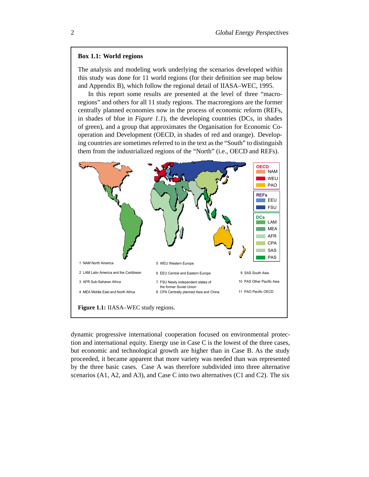### **Box 1.1: World regions**

The analysis and modeling work underlying the scenarios developed within this study was done for 11 world regions (for their definition see map below and Appendix B), which follow the regional detail of IIASA–WEC, 1995.

In this report some results are presented at the level of three "macroregions" and others for all 11 study regions. The macroregions are the former centrally planned economies now in the process of economic reform (REFs, in shades of blue in *Figure 1.1*), the developing countries (DCs, in shades of green), and a group that approximates the Organisation for Economic Cooperation and Development (OECD, in shades of red and orange). Developing countries are sometimes referred to in the text as the "South" to distinguish them from the industrialized regions of the "North" (i.e., OECD and REFs).



dynamic progressive international cooperation focused on environmental protection and international equity. Energy use in Case C is the lowest of the three cases, but economic and technological growth are higher than in Case B. As the study proceeded, it became apparent that more variety was needed than was represented by the three basic cases. Case A was therefore subdivided into three alternative scenarios (A1, A2, and A3), and Case C into two alternatives (C1 and C2). The six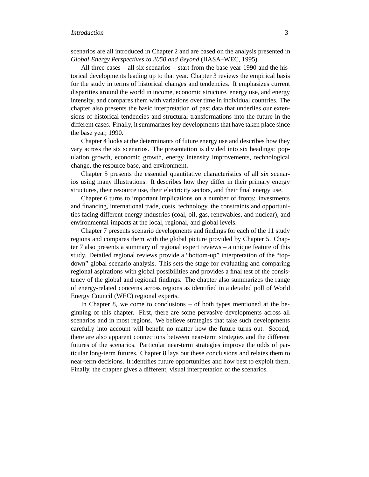scenarios are all introduced in Chapter 2 and are based on the analysis presented in *Global Energy Perspectives to 2050 and Beyond* (IIASA–WEC, 1995).

All three cases – all six scenarios – start from the base year 1990 and the historical developments leading up to that year. Chapter 3 reviews the empirical basis for the study in terms of historical changes and tendencies. It emphasizes current disparities around the world in income, economic structure, energy use, and energy intensity, and compares them with variations over time in individual countries. The chapter also presents the basic interpretation of past data that underlies our extensions of historical tendencies and structural transformations into the future in the different cases. Finally, it summarizes key developments that have taken place since the base year, 1990.

Chapter 4 looks at the determinants of future energy use and describes how they vary across the six scenarios. The presentation is divided into six headings: population growth, economic growth, energy intensity improvements, technological change, the resource base, and environment.

Chapter 5 presents the essential quantitative characteristics of all six scenarios using many illustrations. It describes how they differ in their primary energy structures, their resource use, their electricity sectors, and their final energy use.

Chapter 6 turns to important implications on a number of fronts: investments and financing, international trade, costs, technology, the constraints and opportunities facing different energy industries (coal, oil, gas, renewables, and nuclear), and environmental impacts at the local, regional, and global levels.

Chapter 7 presents scenario developments and findings for each of the 11 study regions and compares them with the global picture provided by Chapter 5. Chapter 7 also presents a summary of regional expert reviews – a unique feature of this study. Detailed regional reviews provide a "bottom-up" interpretation of the "topdown" global scenario analysis. This sets the stage for evaluating and comparing regional aspirations with global possibilities and provides a final test of the consistency of the global and regional findings. The chapter also summarizes the range of energy-related concerns across regions as identified in a detailed poll of World Energy Council (WEC) regional experts.

In Chapter 8, we come to conclusions  $-$  of both types mentioned at the beginning of this chapter. First, there are some pervasive developments across all scenarios and in most regions. We believe strategies that take such developments carefully into account will benefit no matter how the future turns out. Second, there are also apparent connections between near-term strategies and the different futures of the scenarios. Particular near-term strategies improve the odds of particular long-term futures. Chapter 8 lays out these conclusions and relates them to near-term decisions. It identifies future opportunities and how best to exploit them. Finally, the chapter gives a different, visual interpretation of the scenarios.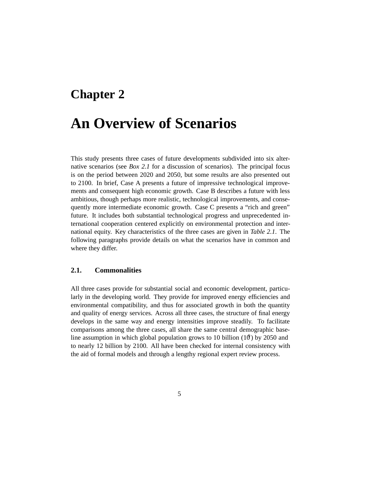### **Chapter 2**

## **An Overview of Scenarios**

This study presents three cases of future developments subdivided into six alternative scenarios (see *Box 2.1* for a discussion of scenarios). The principal focus is on the period between 2020 and 2050, but some results are also presented out to 2100. In brief, Case A presents a future of impressive technological improvements and consequent high economic growth. Case B describes a future with less ambitious, though perhaps more realistic, technological improvements, and consequently more intermediate economic growth. Case C presents a "rich and green" future. It includes both substantial technological progress and unprecedented international cooperation centered explicitly on environmental protection and international equity. Key characteristics of the three cases are given in *Table 2.1*. The following paragraphs provide details on what the scenarios have in common and where they differ.

### **2.1. Commonalities**

All three cases provide for substantial social and economic development, particularly in the developing world. They provide for improved energy efficiencies and environmental compatibility, and thus for associated growth in both the quantity and quality of energy services. Across all three cases, the structure of final energy develops in the same way and energy intensities improve steadily. To facilitate comparisons among the three cases, all share the same central demographic baseline assumption in which global population grows to 10 billion  $(10)$  by 2050 and to nearly 12 billion by 2100. All have been checked for internal consistency with the aid of formal models and through a lengthy regional expert review process.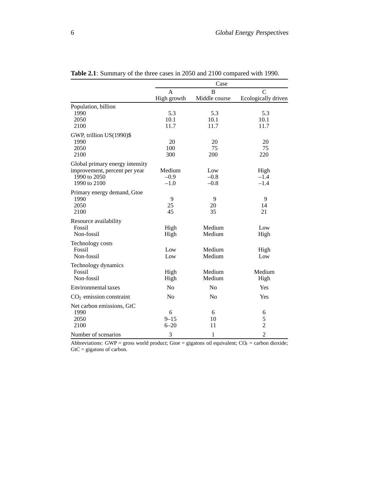|                                                                                                  | Case                           |                         |                                            |
|--------------------------------------------------------------------------------------------------|--------------------------------|-------------------------|--------------------------------------------|
|                                                                                                  | A<br>High growth               | B<br>Middle course      | C<br>Ecologically driven                   |
| Population, billion<br>1990<br>2050<br>2100                                                      | 5.3<br>10.1<br>11.7            | 5.3<br>10.1<br>11.7     | 5.3<br>10.1<br>11.7                        |
| GWP, trillion US(1990)\$<br>1990<br>2050<br>2100                                                 | 20<br>100<br>300               | 20<br>75<br>200         | 20<br>75<br>220                            |
| Global primary energy intensity<br>improvement, percent per year<br>1990 to 2050<br>1990 to 2100 | Medium<br>$-0.9$<br>$-1.0$     | Low<br>$-0.8$<br>$-0.8$ | High<br>$-1.4$<br>$-1.4$                   |
| Primary energy demand, Gtoe<br>1990<br>2050<br>2100                                              | 9<br>25<br>45                  | 9<br>20<br>35           | 9<br>14<br>21                              |
| Resource availability<br>Fossil<br>Non-fossil                                                    | High<br>High                   | Medium<br>Medium        | Low<br>High                                |
| Technology costs<br>Fossil<br>Non-fossil                                                         | Low<br>Low                     | Medium<br>Medium        | High<br>Low                                |
| Technology dynamics<br>Fossil<br>Non-fossil                                                      | High<br>High                   | Medium<br>Medium        | Medium<br>High                             |
| Environmental taxes                                                                              | No                             | N <sub>0</sub>          | Yes                                        |
| $CO2$ emission constraint                                                                        | N <sub>o</sub>                 | N <sub>0</sub>          | Yes                                        |
| Net carbon emissions, GtC<br>1990<br>2050<br>2100<br>Number of scenarios                         | 6<br>$9 - 15$<br>$6 - 20$<br>3 | 6<br>10<br>11<br>1      | 6<br>5<br>$\overline{2}$<br>$\overline{2}$ |

**Table 2.1**: Summary of the three cases in 2050 and 2100 compared with 1990.

Abbreviations: GWP = gross world product; Gtoe = gigatons oil equivalent;  $CO_2$  = carbon dioxide;  $GtC = gigatons of carbon.$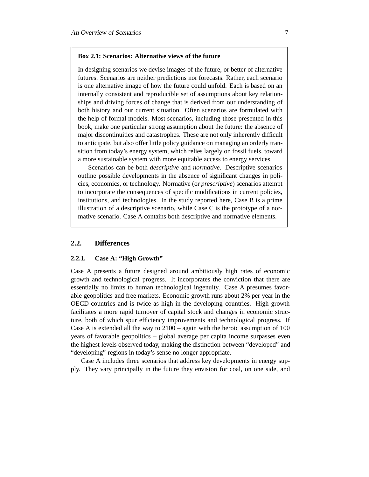### **Box 2.1: Scenarios: Alternative views of the future**

In designing scenarios we devise images of the future, or better of alternative futures. Scenarios are neither predictions nor forecasts. Rather, each scenario is one alternative image of how the future could unfold. Each is based on an internally consistent and reproducible set of assumptions about key relationships and driving forces of change that is derived from our understanding of both history and our current situation. Often scenarios are formulated with the help of formal models. Most scenarios, including those presented in this book, make one particular strong assumption about the future: the absence of major discontinuities and catastrophes. These are not only inherently difficult to anticipate, but also offer little policy guidance on managing an orderly transition from today's energy system, which relies largely on fossil fuels, toward a more sustainable system with more equitable access to energy services.

Scenarios can be both *descriptive* and *normative*. Descriptive scenarios outline possible developments in the absence of significant changes in policies, economics, or technology. Normative (or *prescriptive*) scenarios attempt to incorporate the consequences of specific modifications in current policies, institutions, and technologies. In the study reported here, Case B is a prime illustration of a descriptive scenario, while Case C is the prototype of a normative scenario. Case A contains both descriptive and normative elements.

### **2.2. Differences**

### **2.2.1. Case A: "High Growth"**

Case A presents a future designed around ambitiously high rates of economic growth and technological progress. It incorporates the conviction that there are essentially no limits to human technological ingenuity. Case A presumes favorable geopolitics and free markets. Economic growth runs about 2% per year in the OECD countries and is twice as high in the developing countries. High growth facilitates a more rapid turnover of capital stock and changes in economic structure, both of which spur efficiency improvements and technological progress. If Case A is extended all the way to 2100 – again with the heroic assumption of 100 years of favorable geopolitics – global average per capita income surpasses even the highest levels observed today, making the distinction between "developed" and "developing" regions in today's sense no longer appropriate.

Case A includes three scenarios that address key developments in energy supply. They vary principally in the future they envision for coal, on one side, and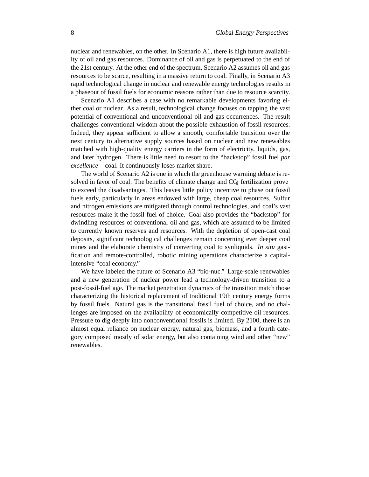nuclear and renewables, on the other. In Scenario A1, there is high future availability of oil and gas resources. Dominance of oil and gas is perpetuated to the end of the 21st century. At the other end of the spectrum, Scenario A2 assumes oil and gas resources to be scarce, resulting in a massive return to coal. Finally, in Scenario A3 rapid technological change in nuclear and renewable energy technologies results in a phaseout of fossil fuels for economic reasons rather than due to resource scarcity.

Scenario A1 describes a case with no remarkable developments favoring either coal or nuclear. As a result, technological change focuses on tapping the vast potential of conventional and unconventional oil and gas occurrences. The result challenges conventional wisdom about the possible exhaustion of fossil resources. Indeed, they appear sufficient to allow a smooth, comfortable transition over the next century to alternative supply sources based on nuclear and new renewables matched with high-quality energy carriers in the form of electricity, liquids, gas, and later hydrogen. There is little need to resort to the "backstop" fossil fuel *par excellence* – coal. It continuously loses market share.

The world of Scenario A2 is one in which the greenhouse warming debate is resolved in favor of coal. The benefits of climate change and  $CQ<sub>2</sub>$  fertilization prove to exceed the disadvantages. This leaves little policy incentive to phase out fossil fuels early, particularly in areas endowed with large, cheap coal resources. Sulfur and nitrogen emissions are mitigated through control technologies, and coal's vast resources make it the fossil fuel of choice. Coal also provides the "backstop" for dwindling resources of conventional oil and gas, which are assumed to be limited to currently known reserves and resources. With the depletion of open-cast coal deposits, significant technological challenges remain concerning ever deeper coal mines and the elaborate chemistry of converting coal to synliquids. *In situ* gasification and remote-controlled, robotic mining operations characterize a capitalintensive "coal economy."

We have labeled the future of Scenario A3 "bio-nuc." Large-scale renewables and a new generation of nuclear power lead a technology-driven transition to a post-fossil-fuel age. The market penetration dynamics of the transition match those characterizing the historical replacement of traditional 19th century energy forms by fossil fuels. Natural gas is the transitional fossil fuel of choice, and no challenges are imposed on the availability of economically competitive oil resources. Pressure to dig deeply into nonconventional fossils is limited. By 2100, there is an almost equal reliance on nuclear energy, natural gas, biomass, and a fourth category composed mostly of solar energy, but also containing wind and other "new" renewables.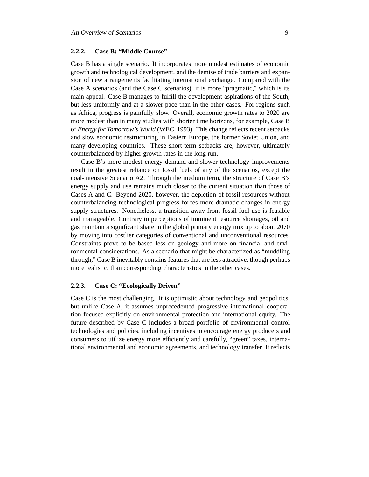### **2.2.2. Case B: "Middle Course"**

Case B has a single scenario. It incorporates more modest estimates of economic growth and technological development, and the demise of trade barriers and expansion of new arrangements facilitating international exchange. Compared with the Case A scenarios (and the Case C scenarios), it is more "pragmatic," which is its main appeal. Case B manages to fulfill the development aspirations of the South, but less uniformly and at a slower pace than in the other cases. For regions such as Africa, progress is painfully slow. Overall, economic growth rates to 2020 are more modest than in many studies with shorter time horizons, for example, Case B of *Energy for Tomorrow's World* (WEC, 1993). This change reflects recent setbacks and slow economic restructuring in Eastern Europe, the former Soviet Union, and many developing countries. These short-term setbacks are, however, ultimately counterbalanced by higher growth rates in the long run.

Case B's more modest energy demand and slower technology improvements result in the greatest reliance on fossil fuels of any of the scenarios, except the coal-intensive Scenario A2. Through the medium term, the structure of Case B's energy supply and use remains much closer to the current situation than those of Cases A and C. Beyond 2020, however, the depletion of fossil resources without counterbalancing technological progress forces more dramatic changes in energy supply structures. Nonetheless, a transition away from fossil fuel use is feasible and manageable. Contrary to perceptions of imminent resource shortages, oil and gas maintain a significant share in the global primary energy mix up to about 2070 by moving into costlier categories of conventional and unconventional resources. Constraints prove to be based less on geology and more on financial and environmental considerations. As a scenario that might be characterized as "muddling through," Case B inevitably contains features that are less attractive, though perhaps more realistic, than corresponding characteristics in the other cases.

### **2.2.3. Case C: "Ecologically Driven"**

Case C is the most challenging. It is optimistic about technology and geopolitics, but unlike Case A, it assumes unprecedented progressive international cooperation focused explicitly on environmental protection and international equity. The future described by Case C includes a broad portfolio of environmental control technologies and policies, including incentives to encourage energy producers and consumers to utilize energy more efficiently and carefully, "green" taxes, international environmental and economic agreements, and technology transfer. It reflects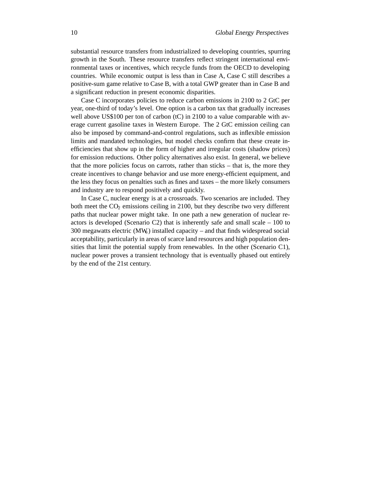substantial resource transfers from industrialized to developing countries, spurring growth in the South. These resource transfers reflect stringent international environmental taxes or incentives, which recycle funds from the OECD to developing countries. While economic output is less than in Case A, Case C still describes a positive-sum game relative to Case B, with a total GWP greater than in Case B and a significant reduction in present economic disparities.

Case C incorporates policies to reduce carbon emissions in 2100 to 2 GtC per year, one-third of today's level. One option is a carbon tax that gradually increases well above US\$100 per ton of carbon (tC) in 2100 to a value comparable with average current gasoline taxes in Western Europe. The 2 GtC emission ceiling can also be imposed by command-and-control regulations, such as inflexible emission limits and mandated technologies, but model checks confirm that these create inefficiencies that show up in the form of higher and irregular costs (shadow prices) for emission reductions. Other policy alternatives also exist. In general, we believe that the more policies focus on carrots, rather than sticks – that is, the more they create incentives to change behavior and use more energy-efficient equipment, and the less they focus on penalties such as fines and taxes – the more likely consumers and industry are to respond positively and quickly.

In Case C, nuclear energy is at a crossroads. Two scenarios are included. They both meet the  $CO<sub>2</sub>$  emissions ceiling in 2100, but they describe two very different paths that nuclear power might take. In one path a new generation of nuclear reactors is developed (Scenario C2) that is inherently safe and small scale  $-100$  to 300 megawatts electric (MWe) installed capacity – and that finds widespread social acceptability, particularly in areas of scarce land resources and high population densities that limit the potential supply from renewables. In the other (Scenario C1), nuclear power proves a transient technology that is eventually phased out entirely by the end of the 21st century.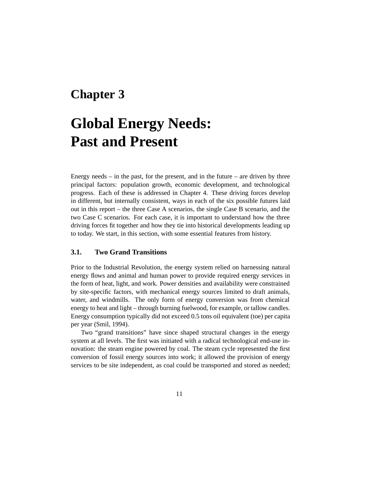### **Chapter 3**

# **Global Energy Needs: Past and Present**

Energy needs  $-$  in the past, for the present, and in the future  $-$  are driven by three principal factors: population growth, economic development, and technological progress. Each of these is addressed in Chapter 4. These driving forces develop in different, but internally consistent, ways in each of the six possible futures laid out in this report – the three Case A scenarios, the single Case B scenario, and the two Case C scenarios. For each case, it is important to understand how the three driving forces fit together and how they tie into historical developments leading up to today. We start, in this section, with some essential features from history.

### **3.1. Two Grand Transitions**

Prior to the Industrial Revolution, the energy system relied on harnessing natural energy flows and animal and human power to provide required energy services in the form of heat, light, and work. Power densities and availability were constrained by site-specific factors, with mechanical energy sources limited to draft animals, water, and windmills. The only form of energy conversion was from chemical energy to heat and light – through burning fuelwood, for example, or tallow candles. Energy consumption typically did not exceed 0.5 tons oil equivalent (toe) per capita per year (Smil, 1994).

Two "grand transitions" have since shaped structural changes in the energy system at all levels. The first was initiated with a radical technological end-use innovation: the steam engine powered by coal. The steam cycle represented the first conversion of fossil energy sources into work; it allowed the provision of energy services to be site independent, as coal could be transported and stored as needed;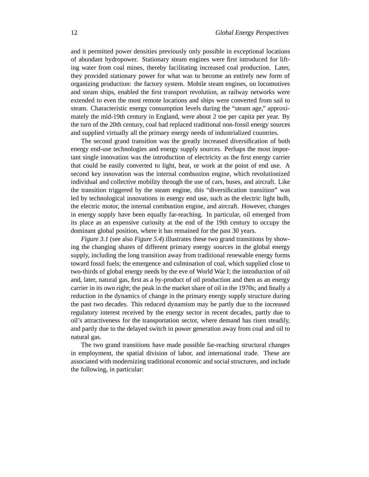and it permitted power densities previously only possible in exceptional locations of abundant hydropower. Stationary steam engines were first introduced for lifting water from coal mines, thereby facilitating increased coal production. Later, they provided stationary power for what was to become an entirely new form of organizing production: the factory system. Mobile steam engines, on locomotives and steam ships, enabled the first transport revolution, as railway networks were extended to even the most remote locations and ships were converted from sail to steam. Characteristic energy consumption levels during the "steam age," approximately the mid-19th century in England, were about 2 toe per capita per year. By the turn of the 20th century, coal had replaced traditional non-fossil energy sources and supplied virtually all the primary energy needs of industrialized countries.

The second grand transition was the greatly increased diversification of both energy end-use technologies and energy supply sources. Perhaps the most important single innovation was the introduction of electricity as the first energy carrier that could be easily converted to light, heat, or work at the point of end use. A second key innovation was the internal combustion engine, which revolutionized individual and collective mobility through the use of cars, buses, and aircraft. Like the transition triggered by the steam engine, this "diversification transition" was led by technological innovations in energy end use, such as the electric light bulb, the electric motor, the internal combustion engine, and aircraft. However, changes in energy supply have been equally far-reaching. In particular, oil emerged from its place as an expensive curiosity at the end of the 19th century to occupy the dominant global position, where it has remained for the past 30 years.

*Figure 3.1* (see also *Figure 5.4*) illustrates these two grand transitions by showing the changing shares of different primary energy sources in the global energy supply, including the long transition away from traditional renewable energy forms toward fossil fuels; the emergence and culmination of coal, which supplied close to two-thirds of global energy needs by the eve of World War I; the introduction of oil and, later, natural gas, first as a by-product of oil production and then as an energy carrier in its own right; the peak in the market share of oil in the 1970s; and finally a reduction in the dynamics of change in the primary energy supply structure during the past two decades. This reduced dynamism may be partly due to the increased regulatory interest received by the energy sector in recent decades, partly due to oil's attractiveness for the transportation sector, where demand has risen steadily, and partly due to the delayed switch in power generation away from coal and oil to natural gas.

The two grand transitions have made possible far-reaching structural changes in employment, the spatial division of labor, and international trade. These are associated with modernizing traditional economic and social structures, and include the following, in particular: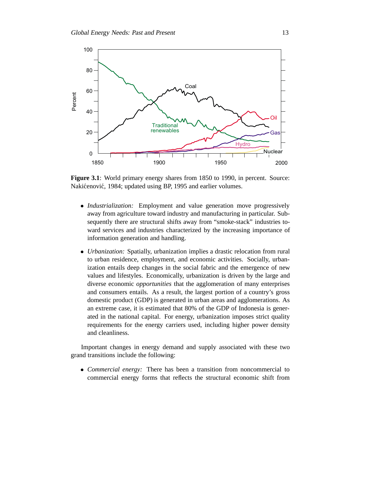

Figure 3.1: World primary energy shares from 1850 to 1990, in percent. Source: Nakićenović, 1984; updated using BP, 1995 and earlier volumes.

- *Industrialization:* Employment and value generation move progressively away from agriculture toward industry and manufacturing in particular. Subsequently there are structural shifts away from "smoke-stack" industries toward services and industries characterized by the increasing importance of information generation and handling.
- *Urbanization:* Spatially, urbanization implies a drastic relocation from rural to urban residence, employment, and economic activities. Socially, urbanization entails deep changes in the social fabric and the emergence of new values and lifestyles. Economically, urbanization is driven by the large and diverse economic *opportunities* that the agglomeration of many enterprises and consumers entails. As a result, the largest portion of a country's gross domestic product (GDP) is generated in urban areas and agglomerations. As an extreme case, it is estimated that 80% of the GDP of Indonesia is generated in the national capital. For energy, urbanization imposes strict quality requirements for the energy carriers used, including higher power density and cleanliness.

Important changes in energy demand and supply associated with these two grand transitions include the following:

 *Commercial energy:* There has been a transition from noncommercial to commercial energy forms that reflects the structural economic shift from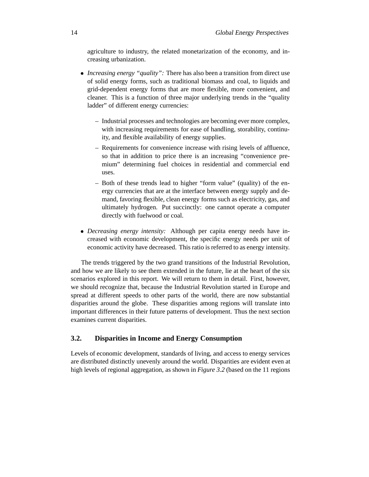agriculture to industry, the related monetarization of the economy, and increasing urbanization.

- *Increasing energy "quality":* There has also been a transition from direct use of solid energy forms, such as traditional biomass and coal, to liquids and grid-dependent energy forms that are more flexible, more convenient, and cleaner. This is a function of three major underlying trends in the "quality ladder" of different energy currencies:
	- Industrial processes and technologies are becoming ever more complex, with increasing requirements for ease of handling, storability, continuity, and flexible availability of energy supplies.
	- Requirements for convenience increase with rising levels of affluence, so that in addition to price there is an increasing "convenience premium" determining fuel choices in residential and commercial end uses.
	- Both of these trends lead to higher "form value" (quality) of the energy currencies that are at the interface between energy supply and demand, favoring flexible, clean energy forms such as electricity, gas, and ultimately hydrogen. Put succinctly: one cannot operate a computer directly with fuelwood or coal.
- *Decreasing energy intensity:* Although per capita energy needs have increased with economic development, the specific energy needs per unit of economic activity have decreased. This ratio is referred to as energy intensity.

The trends triggered by the two grand transitions of the Industrial Revolution, and how we are likely to see them extended in the future, lie at the heart of the six scenarios explored in this report. We will return to them in detail. First, however, we should recognize that, because the Industrial Revolution started in Europe and spread at different speeds to other parts of the world, there are now substantial disparities around the globe. These disparities among regions will translate into important differences in their future patterns of development. Thus the next section examines current disparities.

### **3.2. Disparities in Income and Energy Consumption**

Levels of economic development, standards of living, and access to energy services are distributed distinctly unevenly around the world. Disparities are evident even at high levels of regional aggregation, as shown in *Figure 3.2* (based on the 11 regions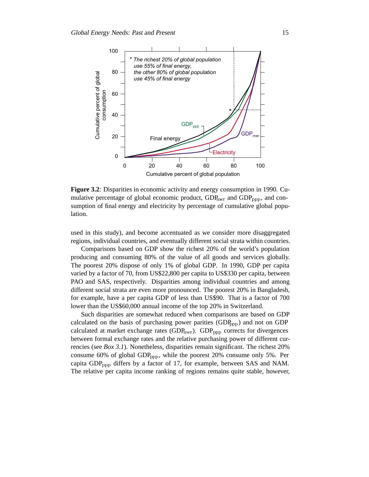

**Figure 3.2**: Disparities in economic activity and energy consumption in 1990. Cumulative percentage of global economic product,  $GDP<sub>mer</sub>$  and  $GDP<sub>ppp</sub>$ , and consumption of final energy and electricity by percentage of cumulative global population.

used in this study), and become accentuated as we consider more disaggregated regions, individual countries, and eventually different social strata within countries.

Comparisons based on GDP show the richest 20% of the world's population producing and consuming 80% of the value of all goods and services globally. The poorest 20% dispose of only 1% of global GDP. In 1990, GDP per capita varied by a factor of 70, from US\$22,800 per capita to US\$330 per capita, between PAO and SAS, respectively. Disparities among individual countries and among different social strata are even more pronounced. The poorest 20% in Bangladesh, for example, have a per capita GDP of less than US\$90. That is a factor of 700 lower than the US\$60,000 annual income of the top 20% in Switzerland.

Such disparities are somewhat reduced when comparisons are based on GDP calculated on the basis of purchasing power parities  $(GDP_{ppp})$  and not on GDP calculated at market exchange rates ( $GDP<sub>mer</sub>$ ).  $GDP<sub>ppp</sub>$  corrects for divergences between formal exchange rates and the relative purchasing power of different currencies (see *Box 3.1*). Nonetheless, disparities remain significant. The richest 20% consume 60% of global GDP<sub>ppp</sub>, while the poorest 20% consume only 5%. Per capita  $GDP_{opp}$  differs by a factor of 17, for example, between SAS and NAM. The relative per capita income ranking of regions remains quite stable, however,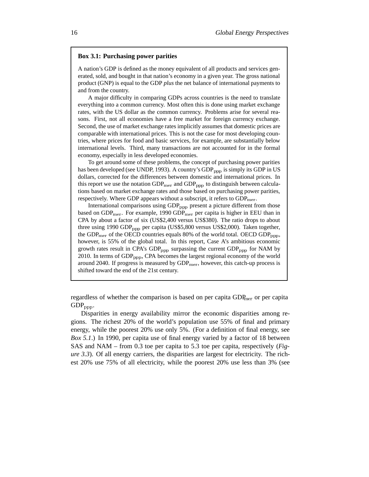### **Box 3.1: Purchasing power parities**

A nation's GDP is defined as the money equivalent of all products and services generated, sold, and bought in that nation's economy in a given year. The gross national product (GNP) is equal to the GDP *plus* the net balance of international payments to and from the country.

A major difficulty in comparing GDPs across countries is the need to translate everything into a common currency. Most often this is done using market exchange rates, with the US dollar as the common currency. Problems arise for several reasons. First, not all economies have a free market for foreign currency exchange. Second, the use of market exchange rates implicitly assumes that domestic prices are comparable with international prices. This is not the case for most developing countries, where prices for food and basic services, for example, are substantially below international levels. Third, many transactions are not accounted for in the formal economy, especially in less developed economies.

To get around some of these problems, the concept of purchasing power parities has been developed (see UNDP, 1993). A country's  $GDP_{pop}$  is simply its  $GDP$  in US dollars, corrected for the differences between domestic and international prices. In this report we use the notation  $GDP_{mer}$  and  $GDP_{opp}$  to distinguish between calculations based on market exchange rates and those based on purchasing power parities, respectively. Where GDP appears without a subscript, it refers to  $GDP_{mer}$ .

International comparisons using  $GDP_{\text{pop}}$  present a picture different from those based on  $GDP_{mer}$ . For example, 1990  $GDP_{mer}$  per capita is higher in EEU than in CPA by about a factor of six (US\$2,400 versus US\$380). The ratio drops to about three using 1990 GDP<sub>ppp</sub> per capita (US\$5,800 versus US\$2,000). Taken together, the GDP<sub>mer</sub> of the OECD countries equals 80% of the world total. OECD GDP<sub>ppp</sub>, however, is 55% of the global total. In this report, Case A's ambitious economic growth rates result in CPA's  $GDP_{\text{app}}$  surpassing the current  $GDP_{\text{app}}$  for NAM by 2010. In terms of  $GDP_{\text{ppp}}$ , CPA becomes the largest regional economy of the world around 2040. If progress is measured by  $GDP_{mer}$ , however, this catch-up process is shifted toward the end of the 21st century.

regardless of whether the comparison is based on per capita GDP<sub>mer</sub> or per capita  $GDP_{ppp}$ .

Disparities in energy availability mirror the economic disparities among regions. The richest 20% of the world's population use 55% of final and primary energy, while the poorest 20% use only 5%. (For a definition of final energy, see *Box 5.1*.) In 1990, per capita use of final energy varied by a factor of 18 between SAS and NAM – from 0.3 toe per capita to 5.3 toe per capita, respectively (*Figure 3.3*). Of all energy carriers, the disparities are largest for electricity. The richest 20% use 75% of all electricity, while the poorest 20% use less than 3% (see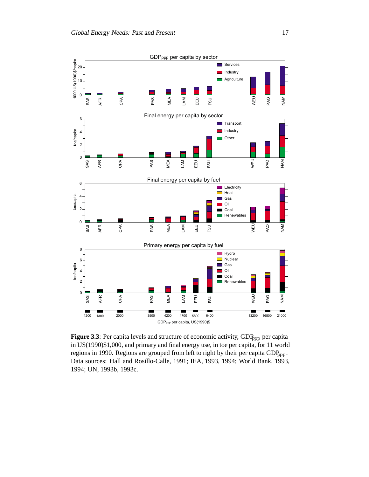

Figure 3.3: Per capita levels and structure of economic activity, GDP<sub>ppp</sub> per capita in US(1990)\$1,000, and primary and final energy use, in toe per capita, for 11 world regions in 1990. Regions are grouped from left to right by their per capita  $GDP_{\text{ppp}}$ . Data sources: Hall and Rosillo-Calle, 1991; IEA, 1993, 1994; World Bank, 1993, 1994; UN, 1993b, 1993c.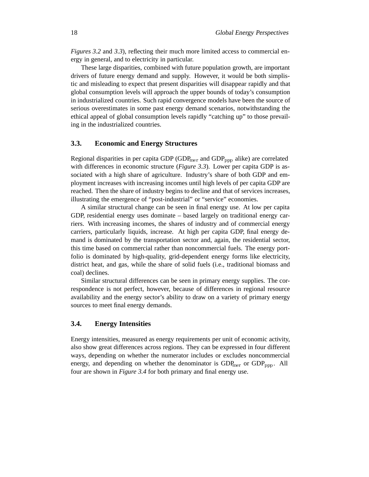*Figures 3.2* and 3.3), reflecting their much more limited access to commercial energy in general, and to electricity in particular.

These large disparities, combined with future population growth, are important drivers of future energy demand and supply. However, it would be both simplistic and misleading to expect that present disparities will disappear rapidly and that global consumption levels will approach the upper bounds of today's consumption in industrialized countries. Such rapid convergence models have been the source of serious overestimates in some past energy demand scenarios, notwithstanding the ethical appeal of global consumption levels rapidly "catching up" to those prevailing in the industrialized countries.

### **3.3. Economic and Energy Structures**

Regional disparities in per capita GDP (GDP<sub>mer</sub> and GDP<sub>ppp</sub> alike) are correlated with differences in economic structure (*Figure 3.3*). Lower per capita GDP is associated with a high share of agriculture. Industry's share of both GDP and employment increases with increasing incomes until high levels of per capita GDP are reached. Then the share of industry begins to decline and that of services increases, illustrating the emergence of "post-industrial" or "service" economies.

A similar structural change can be seen in final energy use. At low per capita GDP, residential energy uses dominate – based largely on traditional energy carriers. With increasing incomes, the shares of industry and of commercial energy carriers, particularly liquids, increase. At high per capita GDP, final energy demand is dominated by the transportation sector and, again, the residential sector, this time based on commercial rather than noncommercial fuels. The energy portfolio is dominated by high-quality, grid-dependent energy forms like electricity, district heat, and gas, while the share of solid fuels (i.e., traditional biomass and coal) declines.

Similar structural differences can be seen in primary energy supplies. The correspondence is not perfect, however, because of differences in regional resource availability and the energy sector's ability to draw on a variety of primary energy sources to meet final energy demands.

### **3.4. Energy Intensities**

Energy intensities, measured as energy requirements per unit of economic activity, also show great differences across regions. They can be expressed in four different ways, depending on whether the numerator includes or excludes noncommercial energy, and depending on whether the denominator is  $GDP<sub>mer</sub>$  or  $GDP<sub>ppp</sub>$ . All four are shown in *Figure 3.4* for both primary and final energy use.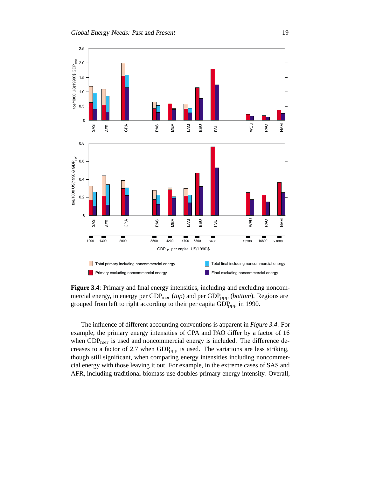

**Figure 3.4**: Primary and final energy intensities, including and excluding noncommercial energy, in energy per GDP<sub>mer</sub> (*top*) and per GDP<sub>ppp</sub> (*bottom*). Regions are grouped from left to right according to their per capita  $GDP<sub>ppp</sub>$  in 1990.

The influence of different accounting conventions is apparent in *Figure 3.4*. For example, the primary energy intensities of CPA and PAO differ by a factor of 16 when GDP<sub>mer</sub> is used and noncommercial energy is included. The difference decreases to a factor of 2.7 when  $GDP<sub>ppp</sub>$  is used. The variations are less striking, though still significant, when comparing energy intensities including noncommercial energy with those leaving it out. For example, in the extreme cases of SAS and AFR, including traditional biomass use doubles primary energy intensity. Overall,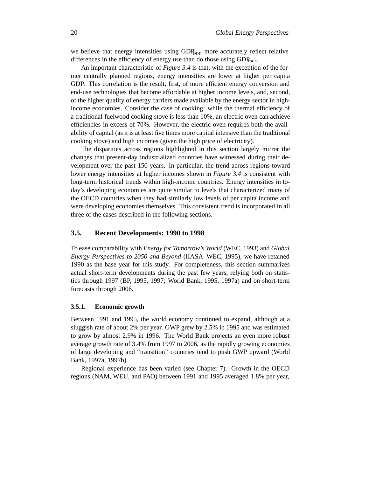we believe that energy intensities using  $GDP_{ppp}$  more accurately reflect relative differences in the efficiency of energy use than do those using  $GDP<sub>mer</sub>$ .

An important characteristic of *Figure 3.4* is that, with the exception of the former centrally planned regions, energy intensities are lower at higher per capita GDP. This correlation is the result, first, of more efficient energy conversion and end-use technologies that become affordable at higher income levels, and, second, of the higher quality of energy carriers made available by the energy sector in highincome economies. Consider the case of cooking: while the thermal efficiency of a traditional fuelwood cooking stove is less than 10%, an electric oven can achieve efficiencies in excess of 70%. However, the electric oven requires both the availability of capital (as it is at least five times more capital intensive than the traditional cooking stove) and high incomes (given the high price of electricity).

The disparities across regions highlighted in this section largely mirror the changes that present-day industrialized countries have witnessed during their development over the past 150 years. In particular, the trend across regions toward lower energy intensities at higher incomes shown in *Figure 3.4* is consistent with long-term historical trends within high-income countries. Energy intensities in today's developing economies are quite similar to levels that characterized many of the OECD countries when they had similarly low levels of per capita income and were developing economies themselves. This consistent trend is incorporated in all three of the cases described in the following sections.

### **3.5. Recent Developments: 1990 to 1998**

To ease comparability with *Energy for Tomorrow's World* (WEC, 1993) and *Global Energy Perspectives to 2050 and Beyond* (IIASA–WEC, 1995), we have retained 1990 as the base year for this study. For completeness, this section summarizes actual short-term developments during the past few years, relying both on statistics through 1997 (BP, 1995, 1997; World Bank, 1995, 1997a) and on short-term forecasts through 2006.

#### **3.5.1. Economic growth**

Between 1991 and 1995, the world economy continued to expand, although at a sluggish rate of about 2% per year. GWP grew by 2.5% in 1995 and was estimated to grow by almost 2.9% in 1996. The World Bank projects an even more robust average growth rate of 3.4% from 1997 to 2006, as the rapidly growing economies of large developing and "transition" countries tend to push GWP upward (World Bank, 1997a, 1997b).

Regional experience has been varied (see Chapter 7). Growth in the OECD regions (NAM, WEU, and PAO) between 1991 and 1995 averaged 1.8% per year,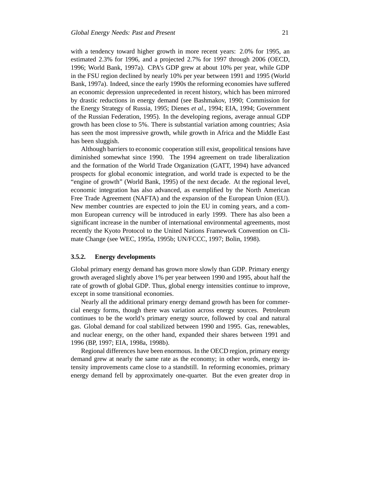with a tendency toward higher growth in more recent years: 2.0% for 1995, an estimated 2.3% for 1996, and a projected 2.7% for 1997 through 2006 (OECD, 1996; World Bank, 1997a). CPA's GDP grew at about 10% per year, while GDP in the FSU region declined by nearly 10% per year between 1991 and 1995 (World Bank, 1997a). Indeed, since the early 1990s the reforming economies have suffered an economic depression unprecedented in recent history, which has been mirrored by drastic reductions in energy demand (see Bashmakov, 1990; Commission for the Energy Strategy of Russia, 1995; Dienes *et al*., 1994; EIA, 1994; Government of the Russian Federation, 1995). In the developing regions, average annual GDP growth has been close to 5%. There is substantial variation among countries; Asia has seen the most impressive growth, while growth in Africa and the Middle East has been sluggish.

Although barriers to economic cooperation still exist, geopolitical tensions have diminished somewhat since 1990. The 1994 agreement on trade liberalization and the formation of the World Trade Organization (GATT, 1994) have advanced prospects for global economic integration, and world trade is expected to be the "engine of growth" (World Bank, 1995) of the next decade. At the regional level, economic integration has also advanced, as exemplified by the North American Free Trade Agreement (NAFTA) and the expansion of the European Union (EU). New member countries are expected to join the EU in coming years, and a common European currency will be introduced in early 1999. There has also been a significant increase in the number of international environmental agreements, most recently the Kyoto Protocol to the United Nations Framework Convention on Climate Change (see WEC, 1995a, 1995b; UN/FCCC, 1997; Bolin, 1998).

### **3.5.2. Energy developments**

Global primary energy demand has grown more slowly than GDP. Primary energy growth averaged slightly above 1% per year between 1990 and 1995, about half the rate of growth of global GDP. Thus, global energy intensities continue to improve, except in some transitional economies.

Nearly all the additional primary energy demand growth has been for commercial energy forms, though there was variation across energy sources. Petroleum continues to be the world's primary energy source, followed by coal and natural gas. Global demand for coal stabilized between 1990 and 1995. Gas, renewables, and nuclear energy, on the other hand, expanded their shares between 1991 and 1996 (BP, 1997; EIA, 1998a, 1998b).

Regional differences have been enormous. In the OECD region, primary energy demand grew at nearly the same rate as the economy; in other words, energy intensity improvements came close to a standstill. In reforming economies, primary energy demand fell by approximately one-quarter. But the even greater drop in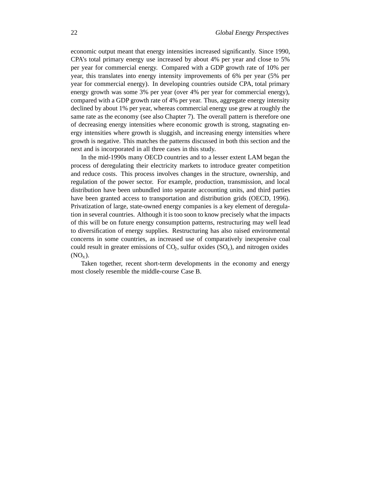economic output meant that energy intensities increased significantly. Since 1990, CPA's total primary energy use increased by about 4% per year and close to 5% per year for commercial energy. Compared with a GDP growth rate of 10% per year, this translates into energy intensity improvements of 6% per year (5% per year for commercial energy). In developing countries outside CPA, total primary energy growth was some 3% per year (over 4% per year for commercial energy), compared with a GDP growth rate of 4% per year. Thus, aggregate energy intensity declined by about 1% per year, whereas commercial energy use grew at roughly the same rate as the economy (see also Chapter 7). The overall pattern is therefore one of decreasing energy intensities where economic growth is strong, stagnating energy intensities where growth is sluggish, and increasing energy intensities where growth is negative. This matches the patterns discussed in both this section and the next and is incorporated in all three cases in this study.

In the mid-1990s many OECD countries and to a lesser extent LAM began the process of deregulating their electricity markets to introduce greater competition and reduce costs. This process involves changes in the structure, ownership, and regulation of the power sector. For example, production, transmission, and local distribution have been unbundled into separate accounting units, and third parties have been granted access to transportation and distribution grids (OECD, 1996). Privatization of large, state-owned energy companies is a key element of deregulation in several countries. Although it is too soon to know precisely what the impacts of this will be on future energy consumption patterns, restructuring may well lead to diversification of energy supplies. Restructuring has also raised environmental concerns in some countries, as increased use of comparatively inexpensive coal could result in greater emissions of  $CO<sub>2</sub>$ , sulfur oxides  $(SO<sub>x</sub>)$ , and nitrogen oxides  $(NO<sub>x</sub>)$ .

Taken together, recent short-term developments in the economy and energy most closely resemble the middle-course Case B.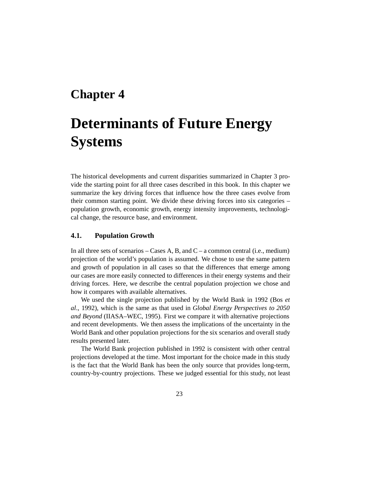# **Chapter 4**

# **Determinants of Future Energy Systems**

The historical developments and current disparities summarized in Chapter 3 provide the starting point for all three cases described in this book. In this chapter we summarize the key driving forces that influence how the three cases evolve from their common starting point. We divide these driving forces into six categories – population growth, economic growth, energy intensity improvements, technological change, the resource base, and environment.

# **4.1. Population Growth**

In all three sets of scenarios – Cases A, B, and  $C - a$  common central (i.e., medium) projection of the world's population is assumed. We chose to use the same pattern and growth of population in all cases so that the differences that emerge among our cases are more easily connected to differences in their energy systems and their driving forces. Here, we describe the central population projection we chose and how it compares with available alternatives.

We used the single projection published by the World Bank in 1992 (Bos *et al*., 1992), which is the same as that used in *Global Energy Perspectives to 2050 and Beyond* (IIASA–WEC, 1995). First we compare it with alternative projections and recent developments. We then assess the implications of the uncertainty in the World Bank and other population projections for the six scenarios and overall study results presented later.

The World Bank projection published in 1992 is consistent with other central projections developed at the time. Most important for the choice made in this study is the fact that the World Bank has been the only source that provides long-term, country-by-country projections. These we judged essential for this study, not least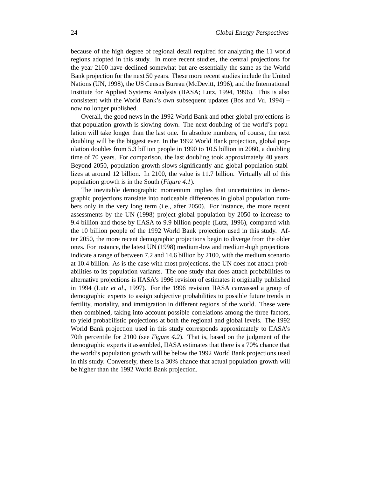because of the high degree of regional detail required for analyzing the 11 world regions adopted in this study. In more recent studies, the central projections for the year 2100 have declined somewhat but are essentially the same as the World Bank projection for the next 50 years. These more recent studies include the United Nations (UN, 1998), the US Census Bureau (McDevitt, 1996), and the International Institute for Applied Systems Analysis (IIASA; Lutz, 1994, 1996). This is also consistent with the World Bank's own subsequent updates (Bos and Vu, 1994) – now no longer published.

Overall, the good news in the 1992 World Bank and other global projections is that population growth is slowing down. The next doubling of the world's population will take longer than the last one. In absolute numbers, of course, the next doubling will be the biggest ever. In the 1992 World Bank projection, global population doubles from 5.3 billion people in 1990 to 10.5 billion in 2060, a doubling time of 70 years. For comparison, the last doubling took approximately 40 years. Beyond 2050, population growth slows significantly and global population stabilizes at around 12 billion. In 2100, the value is 11.7 billion. Virtually all of this population growth is in the South (*Figure 4.1*).

The inevitable demographic momentum implies that uncertainties in demographic projections translate into noticeable differences in global population numbers only in the very long term (i.e., after 2050). For instance, the more recent assessments by the UN (1998) project global population by 2050 to increase to 9.4 billion and those by IIASA to 9.9 billion people (Lutz, 1996), compared with the 10 billion people of the 1992 World Bank projection used in this study. After 2050, the more recent demographic projections begin to diverge from the older ones. For instance, the latest UN (1998) medium-low and medium-high projections indicate a range of between 7.2 and 14.6 billion by 2100, with the medium scenario at 10.4 billion. As is the case with most projections, the UN does not attach probabilities to its population variants. The one study that does attach probabilities to alternative projections is IIASA's 1996 revision of estimates it originally published in 1994 (Lutz *et al*., 1997). For the 1996 revision IIASA canvassed a group of demographic experts to assign subjective probabilities to possible future trends in fertility, mortality, and immigration in different regions of the world. These were then combined, taking into account possible correlations among the three factors, to yield probabilistic projections at both the regional and global levels. The 1992 World Bank projection used in this study corresponds approximately to IIASA's 70th percentile for 2100 (see *Figure 4.2*). That is, based on the judgment of the demographic experts it assembled, IIASA estimates that there is a 70% chance that the world's population growth will be below the 1992 World Bank projections used in this study. Conversely, there is a 30% chance that actual population growth will be higher than the 1992 World Bank projection.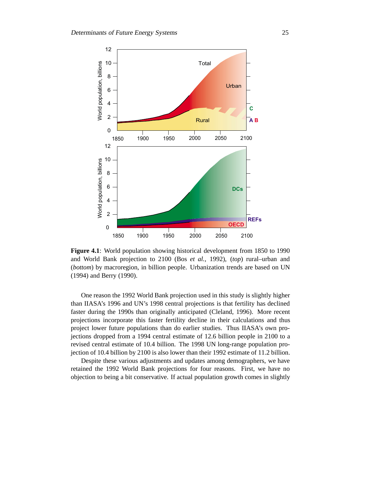

**Figure 4.1**: World population showing historical development from 1850 to 1990 and World Bank projection to 2100 (Bos *et al.,* 1992), (*top*) rural–urban and (*bottom*) by macroregion, in billion people. Urbanization trends are based on UN (1994) and Berry (1990).

One reason the 1992 World Bank projection used in this study is slightly higher than IIASA's 1996 and UN's 1998 central projections is that fertility has declined faster during the 1990s than originally anticipated (Cleland, 1996). More recent projections incorporate this faster fertility decline in their calculations and thus project lower future populations than do earlier studies. Thus IIASA's own projections dropped from a 1994 central estimate of 12.6 billion people in 2100 to a revised central estimate of 10.4 billion. The 1998 UN long-range population projection of 10.4 billion by 2100 is also lower than their 1992 estimate of 11.2 billion.

Despite these various adjustments and updates among demographers, we have retained the 1992 World Bank projections for four reasons. First, we have no objection to being a bit conservative. If actual population growth comes in slightly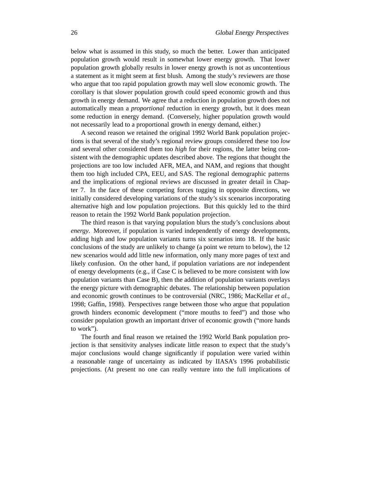below what is assumed in this study, so much the better. Lower than anticipated population growth would result in somewhat lower energy growth. That lower population growth globally results in lower energy growth is not as uncontentious a statement as it might seem at first blush. Among the study's reviewers are those who argue that too rapid population growth may well slow economic growth. The corollary is that slower population growth could speed economic growth and thus growth in energy demand. We agree that a reduction in population growth does not automatically mean a *proportional* reduction in energy growth, but it does mean some reduction in energy demand. (Conversely, higher population growth would not necessarily lead to a proportional growth in energy demand, either.)

A second reason we retained the original 1992 World Bank population projections is that several of the study's regional review groups considered these too *low* and several other considered them too *high* for their regions, the latter being consistent with the demographic updates described above. The regions that thought the projections are too low included AFR, MEA, and NAM, and regions that thought them too high included CPA, EEU, and SAS. The regional demographic patterns and the implications of regional reviews are discussed in greater detail in Chapter 7. In the face of these competing forces tugging in opposite directions, we initially considered developing variations of the study's six scenarios incorporating alternative high and low population projections. But this quickly led to the third reason to retain the 1992 World Bank population projection.

The third reason is that varying population blurs the study's conclusions about *energy*. Moreover, if population is varied independently of energy developments, adding high and low population variants turns six scenarios into 18. If the basic conclusions of the study are unlikely to change (a point we return to below), the 12 new scenarios would add little new information, only many more pages of text and likely confusion. On the other hand, if population variations are *not* independent of energy developments (e.g., if Case C is believed to be more consistent with low population variants than Case B), then the addition of population variants overlays the energy picture with demographic debates. The relationship between population and economic growth continues to be controversial (NRC, 1986; MacKellar *et al.*, 1998; Gaffin, 1998). Perspectives range between those who argue that population growth hinders economic development ("more mouths to feed") and those who consider population growth an important driver of economic growth ("more hands to work").

The fourth and final reason we retained the 1992 World Bank population projection is that sensitivity analyses indicate little reason to expect that the study's major conclusions would change significantly if population were varied within a reasonable range of uncertainty as indicated by IIASA's 1996 probabilistic projections. (At present no one can really venture into the full implications of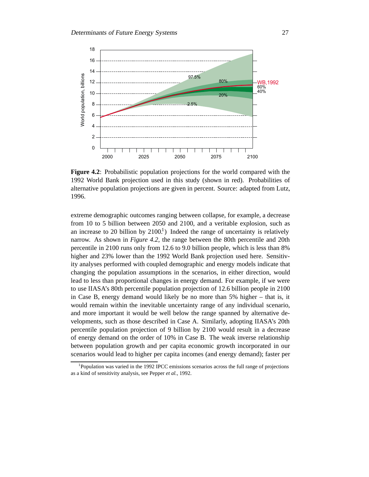

**Figure 4.2**: Probabilistic population projections for the world compared with the 1992 World Bank projection used in this study (shown in red). Probabilities of alternative population projections are given in percent. Source: adapted from Lutz, 1996.

extreme demographic outcomes ranging between collapse, for example, a decrease from 10 to 5 billion between 2050 and 2100, and a veritable explosion, such as an increase to 20 billion by  $2100<sup>1</sup>$ ) Indeed the range of uncertainty is relatively narrow. As shown in *Figure 4.2*, the range between the 80th percentile and 20th percentile in 2100 runs only from 12.6 to 9.0 billion people, which is less than 8% higher and 23% lower than the 1992 World Bank projection used here. Sensitivity analyses performed with coupled demographic and energy models indicate that changing the population assumptions in the scenarios, in either direction, would lead to less than proportional changes in energy demand. For example, if we were to use IIASA's 80th percentile population projection of 12.6 billion people in 2100 in Case B, energy demand would likely be no more than 5% higher – that is, it would remain within the inevitable uncertainty range of any individual scenario, and more important it would be well below the range spanned by alternative developments, such as those described in Case A. Similarly, adopting IIASA's 20th percentile population projection of 9 billion by 2100 would result in a decrease of energy demand on the order of 10% in Case B. The weak inverse relationship between population growth and per capita economic growth incorporated in our scenarios would lead to higher per capita incomes (and energy demand); faster per

<sup>&</sup>lt;sup>1</sup>Population was varied in the 1992 IPCC emissions scenarios across the full range of projections as a kind of sensitivity analysis, see Pepper *et al.*, 1992.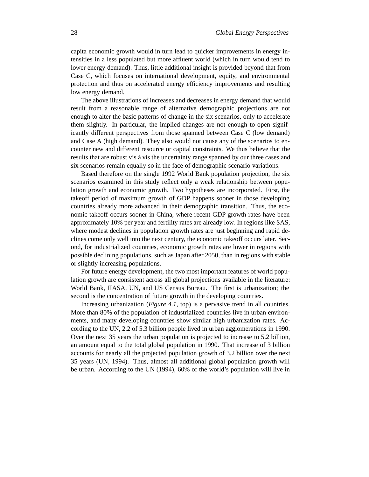capita economic growth would in turn lead to quicker improvements in energy intensities in a less populated but more affluent world (which in turn would tend to lower energy demand). Thus, little additional insight is provided beyond that from Case C, which focuses on international development, equity, and environmental protection and thus on accelerated energy efficiency improvements and resulting low energy demand.

The above illustrations of increases and decreases in energy demand that would result from a reasonable range of alternative demographic projections are not enough to alter the basic patterns of change in the six scenarios, only to accelerate them slightly. In particular, the implied changes are not enough to open significantly different perspectives from those spanned between Case C (low demand) and Case A (high demand). They also would not cause any of the scenarios to encounter new and different resource or capital constraints. We thus believe that the results that are robust vis à vis the uncertainty range spanned by our three cases and six scenarios remain equally so in the face of demographic scenario variations.

Based therefore on the single 1992 World Bank population projection, the six scenarios examined in this study reflect only a weak relationship between population growth and economic growth. Two hypotheses are incorporated. First, the takeoff period of maximum growth of GDP happens sooner in those developing countries already more advanced in their demographic transition. Thus, the economic takeoff occurs sooner in China, where recent GDP growth rates have been approximately 10% per year and fertility rates are already low. In regions like SAS, where modest declines in population growth rates are just beginning and rapid declines come only well into the next century, the economic takeoff occurs later. Second, for industrialized countries, economic growth rates are lower in regions with possible declining populations, such as Japan after 2050, than in regions with stable or slightly increasing populations.

For future energy development, the two most important features of world population growth are consistent across all global projections available in the literature: World Bank, IIASA, UN, and US Census Bureau. The first is urbanization; the second is the concentration of future growth in the developing countries.

Increasing urbanization (*Figure 4.1*, top) is a pervasive trend in all countries. More than 80% of the population of industrialized countries live in urban environments, and many developing countries show similar high urbanization rates. According to the UN, 2.2 of 5.3 billion people lived in urban agglomerations in 1990. Over the next 35 years the urban population is projected to increase to 5.2 billion, an amount equal to the total global population in 1990. That increase of 3 billion accounts for nearly all the projected population growth of 3.2 billion over the next 35 years (UN, 1994). Thus, almost all additional global population growth will be urban. According to the UN (1994), 60% of the world's population will live in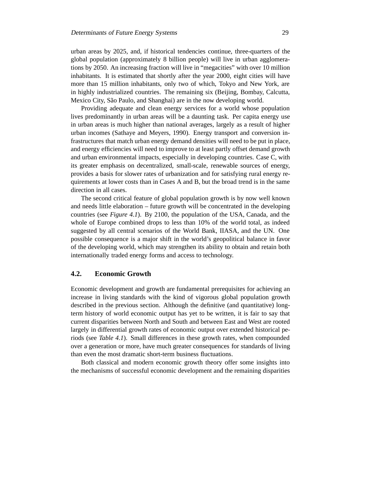urban areas by 2025, and, if historical tendencies continue, three-quarters of the global population (approximately 8 billion people) will live in urban agglomerations by 2050. An increasing fraction will live in "megacities" with over 10 million inhabitants. It is estimated that shortly after the year 2000, eight cities will have more than 15 million inhabitants, only two of which, Tokyo and New York, are in highly industrialized countries. The remaining six (Beijing, Bombay, Calcutta, Mexico City, São Paulo, and Shanghai) are in the now developing world.

Providing adequate and clean energy services for a world whose population lives predominantly in urban areas will be a daunting task. Per capita energy use in urban areas is much higher than national averages, largely as a result of higher urban incomes (Sathaye and Meyers, 1990). Energy transport and conversion infrastructures that match urban energy demand densities will need to be put in place, and energy efficiencies will need to improve to at least partly offset demand growth and urban environmental impacts, especially in developing countries. Case C, with its greater emphasis on decentralized, small-scale, renewable sources of energy, provides a basis for slower rates of urbanization and for satisfying rural energy requirements at lower costs than in Cases A and B, but the broad trend is in the same direction in all cases.

The second critical feature of global population growth is by now well known and needs little elaboration – future growth will be concentrated in the developing countries (see *Figure 4.1*). By 2100, the population of the USA, Canada, and the whole of Europe combined drops to less than 10% of the world total, as indeed suggested by all central scenarios of the World Bank, IIASA, and the UN. One possible consequence is a major shift in the world's geopolitical balance in favor of the developing world, which may strengthen its ability to obtain and retain both internationally traded energy forms and access to technology.

### **4.2. Economic Growth**

Economic development and growth are fundamental prerequisites for achieving an increase in living standards with the kind of vigorous global population growth described in the previous section. Although the definitive (and quantitative) longterm history of world economic output has yet to be written, it is fair to say that current disparities between North and South and between East and West are rooted largely in differential growth rates of economic output over extended historical periods (see *Table 4.1*). Small differences in these growth rates, when compounded over a generation or more, have much greater consequences for standards of living than even the most dramatic short-term business fluctuations.

Both classical and modern economic growth theory offer some insights into the mechanisms of successful economic development and the remaining disparities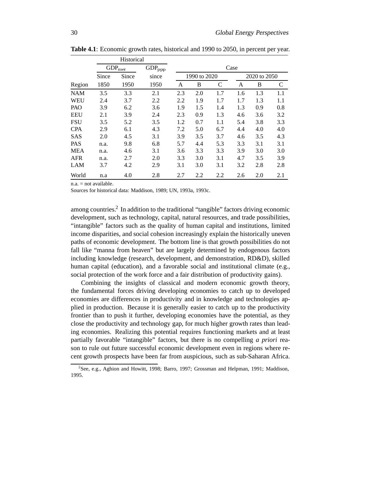|            | Historical |                        |                               |     |              |     |      |              |     |
|------------|------------|------------------------|-------------------------------|-----|--------------|-----|------|--------------|-----|
|            |            | $\mbox{GDP}_{\rm mer}$ | $\mathrm{GDP}_{\mathrm{ppp}}$ |     |              |     | Case |              |     |
|            | Since      | Since                  | since                         |     | 1990 to 2020 |     |      | 2020 to 2050 |     |
| Region     | 1850       | 1950                   | 1950                          | A   | B            | C   | A    | B            | C   |
| <b>NAM</b> | 3.5        | 3.3                    | 2.1                           | 2.3 | 2.0          | 1.7 | 1.6  | 1.3          | 1.1 |
| <b>WEU</b> | 2.4        | 3.7                    | 2.2                           | 2.2 | 1.9          | 1.7 | 1.7  | 1.3          | 1.1 |
| <b>PAO</b> | 3.9        | 6.2                    | 3.6                           | 1.9 | 1.5          | 1.4 | 1.3  | 0.9          | 0.8 |
| <b>EEU</b> | 2.1        | 3.9                    | 2.4                           | 2.3 | 0.9          | 1.3 | 4.6  | 3.6          | 3.2 |
| <b>FSU</b> | 3.5        | 5.2                    | 3.5                           | 1.2 | 0.7          | 1.1 | 5.4  | 3.8          | 3.3 |
| <b>CPA</b> | 2.9        | 6.1                    | 4.3                           | 7.2 | 5.0          | 6.7 | 4.4  | 4.0          | 4.0 |
| <b>SAS</b> | 2.0        | 4.5                    | 3.1                           | 3.9 | 3.5          | 3.7 | 4.6  | 3.5          | 4.3 |
| <b>PAS</b> | n.a.       | 9.8                    | 6.8                           | 5.7 | 4.4          | 5.3 | 3.3  | 3.1          | 3.1 |
| <b>MEA</b> | n.a.       | 4.6                    | 3.1                           | 3.6 | 3.3          | 3.3 | 3.9  | 3.0          | 3.0 |
| <b>AFR</b> | n.a.       | 2.7                    | 2.0                           | 3.3 | 3.0          | 3.1 | 4.7  | 3.5          | 3.9 |
| LAM        | 3.7        | 4.2                    | 2.9                           | 3.1 | 3.0          | 3.1 | 3.2  | 2.8          | 2.8 |
| World      | n.a        | 4.0                    | 2.8                           | 2.7 | 2.2          | 2.2 | 2.6  | 2.0          | 2.1 |

**Table 4.1**: Economic growth rates, historical and 1990 to 2050, in percent per year.

 $n.a.$  = not available.

Sources for historical data: Maddison, 1989; UN, 1993a, 1993c.

among countries.2 In addition to the traditional "tangible" factors driving economic development, such as technology, capital, natural resources, and trade possibilities, "intangible" factors such as the quality of human capital and institutions, limited income disparities, and social cohesion increasingly explain the historically uneven paths of economic development. The bottom line is that growth possibilities do not fall like "manna from heaven" but are largely determined by endogenous factors including knowledge (research, development, and demonstration, RD&D), skilled human capital (education), and a favorable social and institutional climate (e.g., social protection of the work force and a fair distribution of productivity gains).

Combining the insights of classical and modern economic growth theory, the fundamental forces driving developing economies to catch up to developed economies are differences in productivity and in knowledge and technologies applied in production. Because it is generally easier to catch up to the productivity frontier than to push it further, developing economies have the potential, as they close the productivity and technology gap, for much higher growth rates than leading economies. Realizing this potential requires functioning markets and at least partially favorable "intangible" factors, but there is no compelling *a priori* reason to rule out future successful economic development even in regions where recent growth prospects have been far from auspicious, such as sub-Saharan Africa.

<sup>&</sup>lt;sup>2</sup>See, e.g., Aghion and Howitt, 1998; Barro, 1997; Grossman and Helpman, 1991; Maddison, 1995.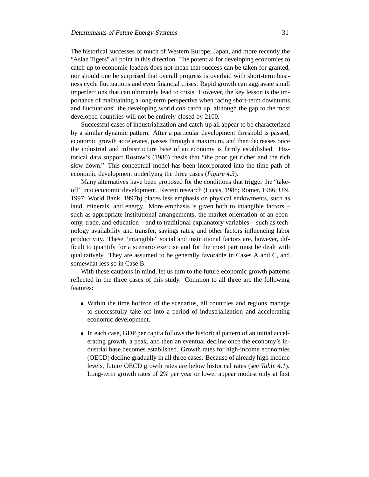The historical successes of much of Western Europe, Japan, and more recently the "Asian Tigers" all point in this direction. The potential for developing economies to catch up to economic leaders does not mean that success can be taken for granted, nor should one be surprised that overall progress is overlaid with short-term business cycle fluctuations and even financial crises. Rapid growth can aggravate small imperfections that can ultimately lead to crisis. However, the key lesson is the importance of maintaining a long-term perspective when facing short-term downturns and fluctuations: the developing world *can* catch up, although the gap to the most developed countries will not be entirely closed by 2100.

Successful cases of industrialization and catch-up all appear to be characterized by a similar dynamic pattern. After a particular development threshold is passed, economic growth accelerates, passes through a maximum, and then decreases once the industrial and infrastructure base of an economy is firmly established. Historical data support Rostow's (1980) thesis that "the poor get richer and the rich slow down." This conceptual model has been incorporated into the time path of economic development underlying the three cases (*Figure 4.3*).

Many alternatives have been proposed for the conditions that trigger the "takeoff" into economic development. Recent research (Lucas, 1988; Romer, 1986; UN, 1997; World Bank, 1997b) places less emphasis on physical endowments, such as land, minerals, and energy. More emphasis is given both to intangible factors – such as appropriate institutional arrangements, the market orientation of an economy, trade, and education – and to traditional explanatory variables – such as technology availability and transfer, savings rates, and other factors influencing labor productivity. These "intangible" social and institutional factors are, however, difficult to quantify for a scenario exercise and for the most part must be dealt with qualitatively. They are assumed to be generally favorable in Cases A and C, and somewhat less so in Case B.

With these cautions in mind, let us turn to the future economic growth patterns reflected in the three cases of this study. Common to all three are the following features:

- Within the time horizon of the scenarios, all countries and regions manage to successfully take off into a period of industrialization and accelerating economic development.
- In each case, GDP per capita follows the historical pattern of an initial accelerating growth, a peak, and then an eventual decline once the economy's industrial base becomes established. Growth rates for high-income economies (OECD) decline gradually in all three cases. Because of already high income levels, future OECD growth rates are below historical rates (see *Table 4.1*). Long-term growth rates of 2% per year or lower appear modest only at first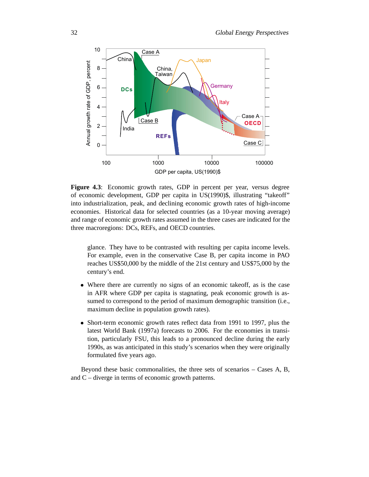

**Figure 4.3**: Economic growth rates, GDP in percent per year, versus degree of economic development, GDP per capita in US(1990)\$, illustrating "takeoff" into industrialization, peak, and declining economic growth rates of high-income economies. Historical data for selected countries (as a 10-year moving average) and range of economic growth rates assumed in the three cases are indicated for the three macroregions: DCs, REFs, and OECD countries.

glance. They have to be contrasted with resulting per capita income levels. For example, even in the conservative Case B, per capita income in PAO reaches US\$50,000 by the middle of the 21st century and US\$75,000 by the century's end.

- Where there are currently no signs of an economic takeoff, as is the case in AFR where GDP per capita is stagnating, peak economic growth is assumed to correspond to the period of maximum demographic transition (i.e., maximum decline in population growth rates).
- Short-term economic growth rates reflect data from 1991 to 1997, plus the latest World Bank (1997a) forecasts to 2006. For the economies in transition, particularly FSU, this leads to a pronounced decline during the early 1990s, as was anticipated in this study's scenarios when they were originally formulated five years ago.

Beyond these basic commonalities, the three sets of scenarios – Cases A, B, and C – diverge in terms of economic growth patterns.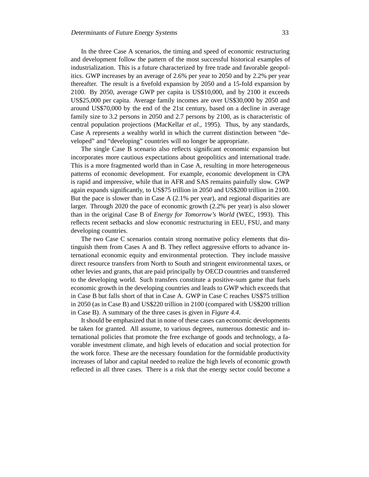In the three Case A scenarios, the timing and speed of economic restructuring and development follow the pattern of the most successful historical examples of industrialization. This is a future characterized by free trade and favorable geopolitics. GWP increases by an average of 2.6% per year to 2050 and by 2.2% per year thereafter. The result is a fivefold expansion by 2050 and a 15-fold expansion by 2100. By 2050, average GWP per capita is US\$10,000, and by 2100 it exceeds US\$25,000 per capita. Average family incomes are over US\$30,000 by 2050 and around US\$70,000 by the end of the 21st century, based on a decline in average family size to 3.2 persons in 2050 and 2.7 persons by 2100, as is characteristic of central population projections (MacKellar *et al.,* 1995). Thus, by any standards, Case A represents a wealthy world in which the current distinction between "developed" and "developing" countries will no longer be appropriate.

The single Case B scenario also reflects significant economic expansion but incorporates more cautious expectations about geopolitics and international trade. This is a more fragmented world than in Case A, resulting in more heterogeneous patterns of economic development. For example, economic development in CPA is rapid and impressive, while that in AFR and SAS remains painfully slow. GWP again expands significantly, to US\$75 trillion in 2050 and US\$200 trillion in 2100. But the pace is slower than in Case A (2.1% per year), and regional disparities are larger. Through 2020 the pace of economic growth (2.2% per year) is also slower than in the original Case B of *Energy for Tomorrow's World* (WEC, 1993). This reflects recent setbacks and slow economic restructuring in EEU, FSU, and many developing countries.

The two Case C scenarios contain strong normative policy elements that distinguish them from Cases A and B. They reflect aggressive efforts to advance international economic equity and environmental protection. They include massive direct resource transfers from North to South and stringent environmental taxes, or other levies and grants, that are paid principally by OECD countries and transferred to the developing world. Such transfers constitute a positive-sum game that fuels economic growth in the developing countries and leads to GWP which exceeds that in Case B but falls short of that in Case A. GWP in Case C reaches US\$75 trillion in 2050 (as in Case B) and US\$220 trillion in 2100 (compared with US\$200 trillion in Case B). A summary of the three cases is given in *Figure 4.4*.

It should be emphasized that in none of these cases can economic developments be taken for granted. All assume, to various degrees, numerous domestic and international policies that promote the free exchange of goods and technology, a favorable investment climate, and high levels of education and social protection for the work force. These are the necessary foundation for the formidable productivity increases of labor and capital needed to realize the high levels of economic growth reflected in all three cases. There is a risk that the energy sector could become a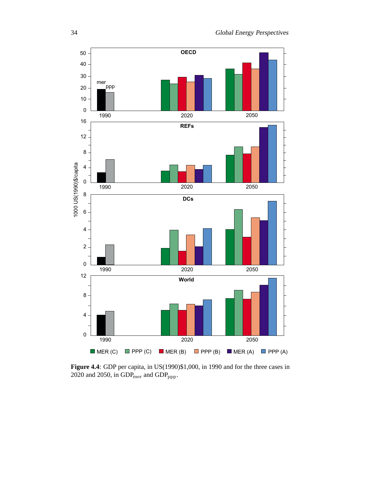

**Figure 4.4**: GDP per capita, in US(1990)\$1,000, in 1990 and for the three cases in 2020 and 2050, in  $GDP_{mer}$  and  $GDP_{ppp}$ .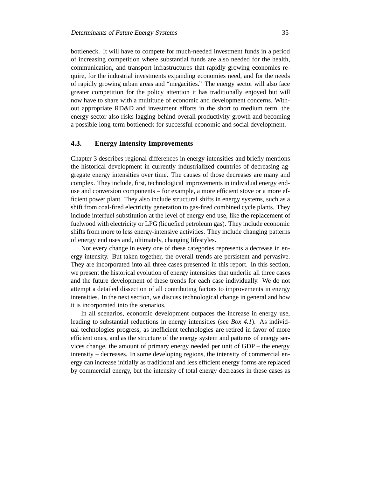bottleneck. It will have to compete for much-needed investment funds in a period of increasing competition where substantial funds are also needed for the health, communication, and transport infrastructures that rapidly growing economies require, for the industrial investments expanding economies need, and for the needs of rapidly growing urban areas and "megacities." The energy sector will also face greater competition for the policy attention it has traditionally enjoyed but will now have to share with a multitude of economic and development concerns. Without appropriate RD&D and investment efforts in the short to medium term, the energy sector also risks lagging behind overall productivity growth and becoming a possible long-term bottleneck for successful economic and social development.

# **4.3. Energy Intensity Improvements**

Chapter 3 describes regional differences in energy intensities and briefly mentions the historical development in currently industrialized countries of decreasing aggregate energy intensities over time. The causes of those decreases are many and complex. They include, first, technological improvements in individual energy enduse and conversion components – for example, a more efficient stove or a more efficient power plant. They also include structural shifts in energy systems, such as a shift from coal-fired electricity generation to gas-fired combined cycle plants. They include interfuel substitution at the level of energy end use, like the replacement of fuelwood with electricity or LPG (liquefied petroleum gas). They include economic shifts from more to less energy-intensive activities. They include changing patterns of energy end uses and, ultimately, changing lifestyles.

Not every change in every one of these categories represents a decrease in energy intensity. But taken together, the overall trends are persistent and pervasive. They are incorporated into all three cases presented in this report. In this section, we present the historical evolution of energy intensities that underlie all three cases and the future development of these trends for each case individually. We do not attempt a detailed dissection of all contributing factors to improvements in energy intensities. In the next section, we discuss technological change in general and how it is incorporated into the scenarios.

In all scenarios, economic development outpaces the increase in energy use, leading to substantial reductions in energy intensities (see *Box 4.1*). As individual technologies progress, as inefficient technologies are retired in favor of more efficient ones, and as the structure of the energy system and patterns of energy services change, the amount of primary energy needed per unit of GDP – the energy intensity – decreases. In some developing regions, the intensity of commercial energy can increase initially as traditional and less efficient energy forms are replaced by commercial energy, but the intensity of total energy decreases in these cases as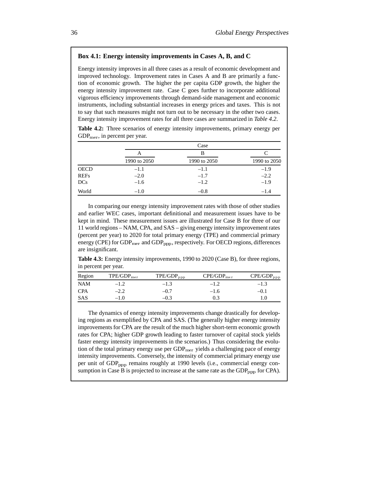#### **Box 4.1: Energy intensity improvements in Cases A, B, and C**

Energy intensity improves in all three cases as a result of economic development and improved technology. Improvement rates in Cases A and B are primarily a function of economic growth. The higher the per capita GDP growth, the higher the energy intensity improvement rate. Case C goes further to incorporate additional vigorous efficiency improvements through demand-side management and economic instruments, including substantial increases in energy prices and taxes. This is not to say that such measures might not turn out to be necessary in the other two cases. Energy intensity improvement rates for all three cases are summarized in *Table 4.2*.

**Table 4.2:** Three scenarios of energy intensity improvements, primary energy per  $GDP<sub>mer</sub>$ , in percent per year.

|             |              | Case         |              |  |  |  |
|-------------|--------------|--------------|--------------|--|--|--|
|             | A            | В            |              |  |  |  |
|             | 1990 to 2050 | 1990 to 2050 | 1990 to 2050 |  |  |  |
| <b>OECD</b> | $-1.1$       | $-1.1$       | $-1.9$       |  |  |  |
| <b>REFs</b> | $-2.0$       | $-1.7$       | $-2.2$       |  |  |  |
| DCs         | $-1.6$       | $-1.2$       | $-1.9$       |  |  |  |
| World       | $-1.0$       | $-0.8$       | $-1.4$       |  |  |  |

In comparing our energy intensity improvement rates with those of other studies and earlier WEC cases, important definitional and measurement issues have to be kept in mind. These measurement issues are illustrated for Case B for three of our 11 world regions – NAM, CPA, and SAS – giving energy intensity improvement rates (percent per year) to 2020 for total primary energy (TPE) and commercial primary energy (CPE) for  $GDP_{mer}$  and  $GDP_{pop}$ , respectively. For OECD regions, differences are insignificant.

**Table 4.3:** Energy intensity improvements, 1990 to 2020 (Case B), for three regions, in percent per year.

| Region     | TPE/GDP <sub>mer</sub> | $\text{TPE/GDP}_{\text{ppp}}$ | CPE/GDP <sub>mer</sub> | $\mathrm{CPE/GDP}_{\mathrm{ppp}}$ |
|------------|------------------------|-------------------------------|------------------------|-----------------------------------|
| <b>NAM</b> | $-1.2$                 | $-1.3$                        | $-1.2$                 | $-1.3$                            |
| <b>CPA</b> | $-2.2$                 | $-0.7$                        | $-1.6$                 | -0.1                              |
| SAS        | $-1.0$                 | $-0.3$                        |                        |                                   |

The dynamics of energy intensity improvements change drastically for developing regions as exemplified by CPA and SAS. (The generally higher energy intensity improvements for CPA are the result of the much higher short-term economic growth rates for CPA; higher GDP growth leading to faster turnover of capital stock yields faster energy intensity improvements in the scenarios.) Thus considering the evolution of the total primary energy use per  $GDP_{mer}$  yields a challenging pace of energy intensity improvements. Conversely, the intensity of commercial primary energy use per unit of  $GDP_{\text{pop}}$  remains roughly at 1990 levels (i.e., commercial energy consumption in Case B is projected to increase at the same rate as the  $GDP_{ppp}$  for CPA).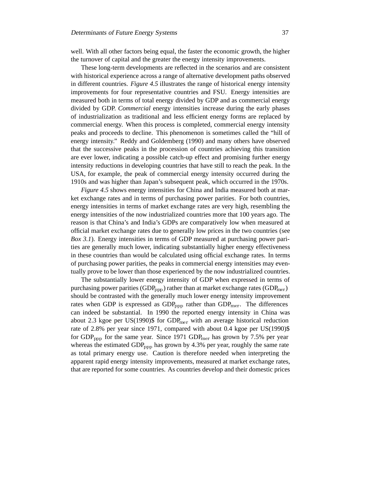well. With all other factors being equal, the faster the economic growth, the higher the turnover of capital and the greater the energy intensity improvements.

These long-term developments are reflected in the scenarios and are consistent with historical experience across a range of alternative development paths observed in different countries. *Figure 4.5* illustrates the range of historical energy intensity improvements for four representative countries and FSU. Energy intensities are measured both in terms of total energy divided by GDP and as commercial energy divided by GDP. *Commercial* energy intensities increase during the early phases of industrialization as traditional and less efficient energy forms are replaced by commercial energy. When this process is completed, commercial energy intensity peaks and proceeds to decline. This phenomenon is sometimes called the "hill of energy intensity." Reddy and Goldemberg (1990) and many others have observed that the successive peaks in the procession of countries achieving this transition are ever lower, indicating a possible catch-up effect and promising further energy intensity reductions in developing countries that have still to reach the peak. In the USA, for example, the peak of commercial energy intensity occurred during the 1910s and was higher than Japan's subsequent peak, which occurred in the 1970s.

*Figure 4.5* shows energy intensities for China and India measured both at market exchange rates and in terms of purchasing power parities. For both countries, energy intensities in terms of market exchange rates are very high, resembling the energy intensities of the now industrialized countries more that 100 years ago. The reason is that China's and India's GDPs are comparatively low when measured at official market exchange rates due to generally low prices in the two countries (see *Box 3.1*). Energy intensities in terms of GDP measured at purchasing power parities are generally much lower, indicating substantially higher energy effectiveness in these countries than would be calculated using official exchange rates. In terms of purchasing power parities, the peaks in commercial energy intensities may eventually prove to be lower than those experienced by the now industrialized countries.

The substantially lower energy intensity of GDP when expressed in terms of purchasing power parities ( $GDP_{pop}$ ) rather than at market exchange rates ( $GDP_{mer}$ ) should be contrasted with the generally much lower energy intensity improvement rates when GDP is expressed as  $GDP_{pop}$  rather than  $GDP_{mer}$ . The differences can indeed be substantial. In 1990 the reported energy intensity in China was about 2.3 kgoe per US(1990)\$ for  $GDP_{mer}$  with an average historical reduction rate of 2.8% per year since 1971, compared with about 0.4 kgoe per US(1990)\$ for  $GDP_{\text{ppp}}$  for the same year. Since 1971  $GDP_{\text{mer}}$  has grown by 7.5% per year whereas the estimated  $GDP_{\text{pop}}$  has grown by 4.3% per year, roughly the same rate as total primary energy use. Caution is therefore needed when interpreting the apparent rapid energy intensity improvements, measured at market exchange rates, that are reported for some countries. As countries develop and their domestic prices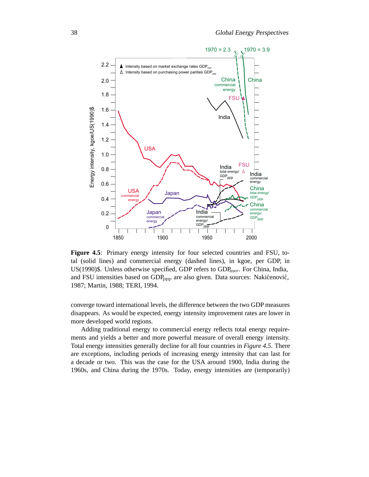

**Figure 4.5**: Primary energy intensity for four selected countries and FSU, total (solid lines) and commercial energy (dashed lines), in kgoe, per GDP, in US(1990)\$. Unless otherwise specified, GDP refers to  $GDP_{mer}$ . For China, India, and FSU intensities based on GDP<sub>ppp</sub> are also given. Data sources: Nakićenović, 1987; Martin, 1988; TERI, 1994.

converge toward international levels, the difference between the two GDP measures disappears. As would be expected, energy intensity improvement rates are lower in more developed world regions.

Adding traditional energy to commercial energy reflects total energy requirements and yields a better and more powerful measure of overall energy intensity. Total energy intensities generally decline for all four countries in *Figure 4.5*. There are exceptions, including periods of increasing energy intensity that can last for a decade or two. This was the case for the USA around 1900, India during the 1960s, and China during the 1970s. Today, energy intensities are (temporarily)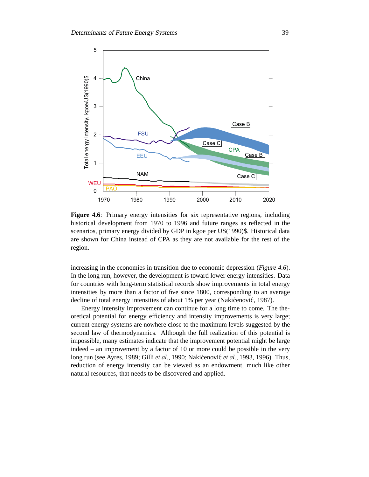

Figure 4.6: Primary energy intensities for six representative regions, including historical development from 1970 to 1996 and future ranges as reflected in the scenarios, primary energy divided by GDP in kgoe per US(1990)\$. Historical data are shown for China instead of CPA as they are not available for the rest of the region.

increasing in the economies in transition due to economic depression (*Figure 4.6*). In the long run, however, the development is toward lower energy intensities. Data for countries with long-term statistical records show improvements in total energy intensities by more than a factor of five since 1800, corresponding to an average decline of total energy intensities of about 1% per year (Nakićenović, 1987).

Energy intensity improvement can continue for a long time to come. The theoretical potential for energy efficiency and intensity improvements is very large; current energy systems are nowhere close to the maximum levels suggested by the second law of thermodynamics. Although the full realization of this potential is impossible, many estimates indicate that the improvement potential might be large indeed – an improvement by a factor of 10 or more could be possible in the very long run (see Ayres, 1989; Gilli *et al.*, 1990; Nakićenović *et al.*, 1993, 1996). Thus, reduction of energy intensity can be viewed as an endowment, much like other natural resources, that needs to be discovered and applied.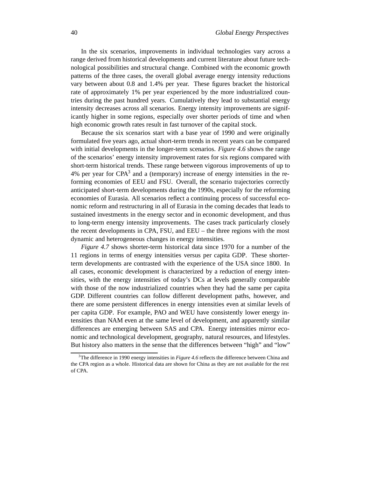In the six scenarios, improvements in individual technologies vary across a range derived from historical developments and current literature about future technological possibilities and structural change. Combined with the economic growth patterns of the three cases, the overall global average energy intensity reductions vary between about 0.8 and 1.4% per year. These figures bracket the historical rate of approximately 1% per year experienced by the more industrialized countries during the past hundred years. Cumulatively they lead to substantial energy intensity decreases across all scenarios. Energy intensity improvements are significantly higher in some regions, especially over shorter periods of time and when high economic growth rates result in fast turnover of the capital stock.

Because the six scenarios start with a base year of 1990 and were originally formulated five years ago, actual short-term trends in recent years can be compared with initial developments in the longer-term scenarios. *Figure 4.6* shows the range of the scenarios' energy intensity improvement rates for six regions compared with short-term historical trends. These range between vigorous improvements of up to 4% per year for  $CPA<sup>3</sup>$  and a (temporary) increase of energy intensities in the reforming economies of EEU and FSU. Overall, the scenario trajectories correctly anticipated short-term developments during the 1990s, especially for the reforming economies of Eurasia. All scenarios reflect a continuing process of successful economic reform and restructuring in all of Eurasia in the coming decades that leads to sustained investments in the energy sector and in economic development, and thus to long-term energy intensity improvements. The cases track particularly closely the recent developments in CPA, FSU, and EEU – the three regions with the most dynamic and heterogeneous changes in energy intensities.

*Figure 4.7* shows shorter-term historical data since 1970 for a number of the 11 regions in terms of energy intensities versus per capita GDP. These shorterterm developments are contrasted with the experience of the USA since 1800. In all cases, economic development is characterized by a reduction of energy intensities, with the energy intensities of today's DCs at levels generally comparable with those of the now industrialized countries when they had the same per capita GDP. Different countries can follow different development paths, however, and there are some persistent differences in energy intensities even at similar levels of per capita GDP. For example, PAO and WEU have consistently lower energy intensities than NAM even at the same level of development, and apparently similar differences are emerging between SAS and CPA. Energy intensities mirror economic and technological development, geography, natural resources, and lifestyles. But history also matters in the sense that the differences between "high" and "low"

<sup>&</sup>lt;sup>3</sup>The difference in 1990 energy intensities in *Figure 4.6* reflects the difference between China and the CPA region as a whole. Historical data are shown for China as they are not available for the rest of CPA.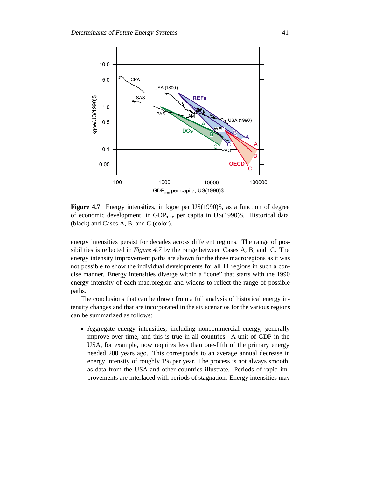

**Figure 4.7**: Energy intensities, in kgoe per US(1990)\$, as a function of degree of economic development, in  $GDP_{mer}$  per capita in US(1990)\$. Historical data (black) and Cases A, B, and C (color).

energy intensities persist for decades across different regions. The range of possibilities is reflected in *Figure 4.7* by the range between Cases A, B, and C. The energy intensity improvement paths are shown for the three macroregions as it was not possible to show the individual developments for all 11 regions in such a concise manner. Energy intensities diverge within a "cone" that starts with the 1990 energy intensity of each macroregion and widens to reflect the range of possible paths.

The conclusions that can be drawn from a full analysis of historical energy intensity changes and that are incorporated in the six scenarios for the various regions can be summarized as follows:

 Aggregate energy intensities, including noncommercial energy, generally improve over time, and this is true in all countries. A unit of GDP in the USA, for example, now requires less than one-fifth of the primary energy needed 200 years ago. This corresponds to an average annual decrease in energy intensity of roughly 1% per year. The process is not always smooth, as data from the USA and other countries illustrate. Periods of rapid improvements are interlaced with periods of stagnation. Energy intensities may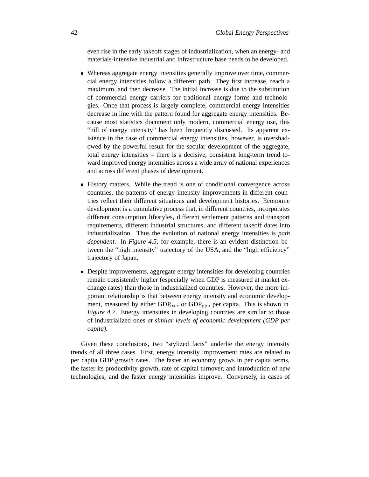even rise in the early takeoff stages of industrialization, when an energy- and materials-intensive industrial and infrastructure base needs to be developed.

- Whereas aggregate energy intensities generally improve over time, commercial energy intensities follow a different path. They first increase, reach a maximum, and then decrease. The initial increase is due to the substitution of commercial energy carriers for traditional energy forms and technologies. Once that process is largely complete, commercial energy intensities decrease in line with the pattern found for aggregate energy intensities. Because most statistics document only modern, commercial energy use, this "hill of energy intensity" has been frequently discussed. Its apparent existence in the case of commercial energy intensities, however, is overshadowed by the powerful result for the secular development of the aggregate, total energy intensities – there is a decisive, consistent long-term trend toward improved energy intensities across a wide array of national experiences and across different phases of development.
- History matters. While the trend is one of conditional convergence across countries, the patterns of energy intensity improvements in different countries reflect their different situations and development histories. Economic development is a cumulative process that, in different countries, incorporates different consumption lifestyles, different settlement patterns and transport requirements, different industrial structures, and different takeoff dates into industrialization. Thus the evolution of national energy intensities is *path dependent*. In *Figure 4.5*, for example, there is an evident distinction between the "high intensity" trajectory of the USA, and the "high efficiency" trajectory of Japan.
- Despite improvements, aggregate energy intensities for developing countries remain consistently higher (especially when GDP is measured at market exchange rates) than those in industrialized countries. However, the more important relationship is that between energy intensity and economic development, measured by either  $GDP<sub>mer</sub>$  or  $GDP<sub>ppp</sub>$  per capita. This is shown in *Figure 4.7.* Energy intensities in developing countries are similar to those of industrialized ones *at similar levels of economic development (GDP per capita).*

Given these conclusions, two "stylized facts" underlie the energy intensity trends of all three cases. First, energy intensity improvement rates are related to per capita GDP growth rates. The faster an economy grows in per capita terms, the faster its productivity growth, rate of capital turnover, and introduction of new technologies, and the faster energy intensities improve. Conversely, in cases of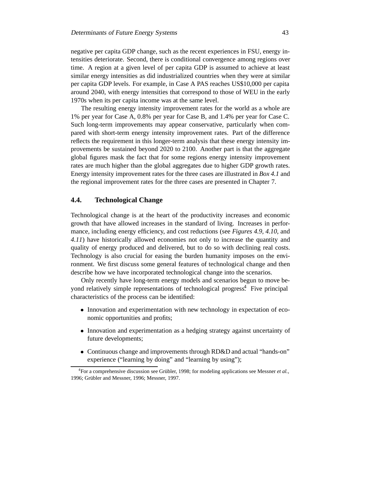negative per capita GDP change, such as the recent experiences in FSU, energy intensities deteriorate. Second, there is conditional convergence among regions over time. A region at a given level of per capita GDP is assumed to achieve at least similar energy intensities as did industrialized countries when they were at similar per capita GDP levels. For example, in Case A PAS reaches US\$10,000 per capita around 2040, with energy intensities that correspond to those of WEU in the early 1970s when its per capita income was at the same level.

The resulting energy intensity improvement rates for the world as a whole are 1% per year for Case A, 0.8% per year for Case B, and 1.4% per year for Case C. Such long-term improvements may appear conservative, particularly when compared with short-term energy intensity improvement rates. Part of the difference reflects the requirement in this longer-term analysis that these energy intensity improvements be sustained beyond 2020 to 2100. Another part is that the aggregate global figures mask the fact that for some regions energy intensity improvement rates are much higher than the global aggregates due to higher GDP growth rates. Energy intensity improvement rates for the three cases are illustrated in *Box 4.1* and the regional improvement rates for the three cases are presented in Chapter 7.

# **4.4. Technological Change**

Technological change is at the heart of the productivity increases and economic growth that have allowed increases in the standard of living. Increases in performance, including energy efficiency, and cost reductions (see *Figures 4.9, 4.10*, and *4.11*) have historically allowed economies not only to increase the quantity and quality of energy produced and delivered, but to do so with declining real costs. Technology is also crucial for easing the burden humanity imposes on the environment. We first discuss some general features of technological change and then describe how we have incorporated technological change into the scenarios.

Only recently have long-term energy models and scenarios begun to move beyond relatively simple representations of technological progress<sup>4</sup>. Five principal characteristics of the process can be identified:

- Innovation and experimentation with new technology in expectation of economic opportunities and profits;
- Innovation and experimentation as a hedging strategy against uncertainty of future developments;
- Continuous change and improvements through RD&D and actual "hands-on" experience ("learning by doing" and "learning by using");

<sup>&</sup>lt;sup>4</sup> For a comprehensive discussion see Grübler, 1998; for modeling applications see Messner *et al.*, 1996; Grübler and Messner, 1996; Messner, 1997.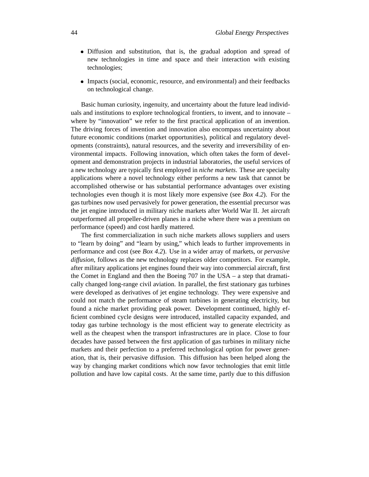- Diffusion and substitution, that is, the gradual adoption and spread of new technologies in time and space and their interaction with existing technologies;
- Impacts (social, economic, resource, and environmental) and their feedbacks on technological change.

Basic human curiosity, ingenuity, and uncertainty about the future lead individuals and institutions to explore technological frontiers, to invent, and to innovate – where by "innovation" we refer to the first practical application of an invention. The driving forces of invention and innovation also encompass uncertainty about future economic conditions (market opportunities), political and regulatory developments (constraints), natural resources, and the severity and irreversibility of environmental impacts. Following innovation, which often takes the form of development and demonstration projects in industrial laboratories, the useful services of a new technology are typically first employed in *niche markets*. These are specialty applications where a novel technology either performs a new task that cannot be accomplished otherwise or has substantial performance advantages over existing technologies even though it is most likely more expensive (see *Box 4.2*). For the gas turbines now used pervasively for power generation, the essential precursor was the jet engine introduced in military niche markets after World War II. Jet aircraft outperformed all propeller-driven planes in a niche where there was a premium on performance (speed) and cost hardly mattered.

The first commercialization in such niche markets allows suppliers and users to "learn by doing" and "learn by using," which leads to further improvements in performance and cost (see *Box 4.2*). Use in a wider array of markets, or *pervasive diffusion*, follows as the new technology replaces older competitors. For example, after military applications jet engines found their way into commercial aircraft, first the Comet in England and then the Boeing 707 in the USA – a step that dramatically changed long-range civil aviation. In parallel, the first stationary gas turbines were developed as derivatives of jet engine technology. They were expensive and could not match the performance of steam turbines in generating electricity, but found a niche market providing peak power. Development continued, highly efficient combined cycle designs were introduced, installed capacity expanded, and today gas turbine technology is the most efficient way to generate electricity as well as the cheapest when the transport infrastructures are in place. Close to four decades have passed between the first application of gas turbines in military niche markets and their perfection to a preferred technological option for power generation, that is, their pervasive diffusion. This diffusion has been helped along the way by changing market conditions which now favor technologies that emit little pollution and have low capital costs. At the same time, partly due to this diffusion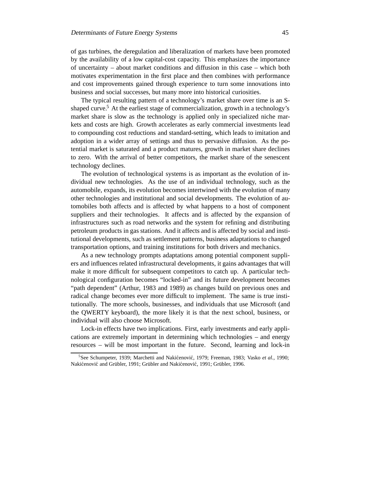of gas turbines, the deregulation and liberalization of markets have been promoted by the availability of a low capital-cost capacity. This emphasizes the importance of uncertainty – about market conditions and diffusion in this case – which both motivates experimentation in the first place and then combines with performance and cost improvements gained through experience to turn some innovations into business and social successes, but many more into historical curiosities.

The typical resulting pattern of a technology's market share over time is an Sshaped curve.<sup>5</sup> At the earliest stage of commercialization, growth in a technology's market share is slow as the technology is applied only in specialized niche markets and costs are high. Growth accelerates as early commercial investments lead to compounding cost reductions and standard-setting, which leads to imitation and adoption in a wider array of settings and thus to pervasive diffusion. As the potential market is saturated and a product matures, growth in market share declines to zero. With the arrival of better competitors, the market share of the senescent technology declines.

The evolution of technological systems is as important as the evolution of individual new technologies. As the use of an individual technology, such as the automobile, expands, its evolution becomes intertwined with the evolution of many other technologies and institutional and social developments. The evolution of automobiles both affects and is affected by what happens to a host of component suppliers and their technologies. It affects and is affected by the expansion of infrastructures such as road networks and the system for refining and distributing petroleum products in gas stations. And it affects and is affected by social and institutional developments, such as settlement patterns, business adaptations to changed transportation options, and training institutions for both drivers and mechanics.

As a new technology prompts adaptations among potential component suppliers and influences related infrastructural developments, it gains advantages that will make it more difficult for subsequent competitors to catch up. A particular technological configuration becomes "locked-in" and its future development becomes "path dependent" (Arthur, 1983 and 1989) as changes build on previous ones and radical change becomes ever more difficult to implement. The same is true institutionally. The more schools, businesses, and individuals that use Microsoft (and the QWERTY keyboard), the more likely it is that the next school, business, or individual will also choose Microsoft.

Lock-in effects have two implications. First, early investments and early applications are extremely important in determining which technologies – and energy resources – will be most important in the future. Second, learning and lock-in

<sup>&</sup>lt;sup>5</sup>See Schumpeter, 1939; Marchetti and Nakićenović, 1979; Freeman, 1983; Vasko et al., 1990; Nakićenović and Grübler, 1991; Grübler and Nakićenović, 1991; Grübler, 1996.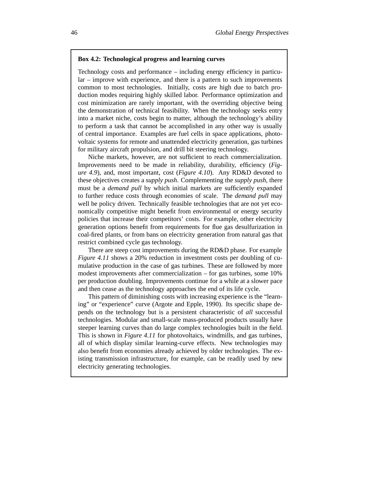#### **Box 4.2: Technological progress and learning curves**

Technology costs and performance – including energy efficiency in particular – improve with experience, and there is a pattern to such improvements common to most technologies. Initially, costs are high due to batch production modes requiring highly skilled labor. Performance optimization and cost minimization are rarely important, with the overriding objective being the demonstration of technical feasibility. When the technology seeks entry into a market niche, costs begin to matter, although the technology's ability to perform a task that cannot be accomplished in any other way is usually of central importance. Examples are fuel cells in space applications, photovoltaic systems for remote and unattended electricity generation, gas turbines for military aircraft propulsion, and drill bit steering technology.

Niche markets, however, are not sufficient to reach commercialization. Improvements need to be made in reliability, durability, efficiency (*Figure 4.9*), and, most important, cost (*Figure 4.10*). Any RD&D devoted to these objectives creates a *supply push*. Complementing the *supply push*, there must be a *demand pull* by which initial markets are sufficiently expanded to further reduce costs through economies of scale. The *demand pull* may well be policy driven. Technically feasible technologies that are not yet economically competitive might benefit from environmental or energy security policies that increase their competitors' costs. For example, other electricity generation options benefit from requirements for flue gas desulfurization in coal-fired plants, or from bans on electricity generation from natural gas that restrict combined cycle gas technology.

There are steep cost improvements during the RD&D phase. For example *Figure 4.11* shows a 20% reduction in investment costs per doubling of cumulative production in the case of gas turbines. These are followed by more modest improvements after commercialization – for gas turbines, some 10% per production doubling. Improvements continue for a while at a slower pace and then cease as the technology approaches the end of its life cycle.

This pattern of diminishing costs with increasing experience is the "learning" or "experience" curve (Argote and Epple, 1990). Its specific shape depends on the technology but is a persistent characteristic of *all* successful technologies. Modular and small-scale mass-produced products usually have steeper learning curves than do large complex technologies built in the field. This is shown in *Figure 4.11* for photovoltaics, windmills, and gas turbines, all of which display similar learning-curve effects. New technologies may also benefit from economies already achieved by older technologies. The existing transmission infrastructure, for example, can be readily used by new electricity generating technologies.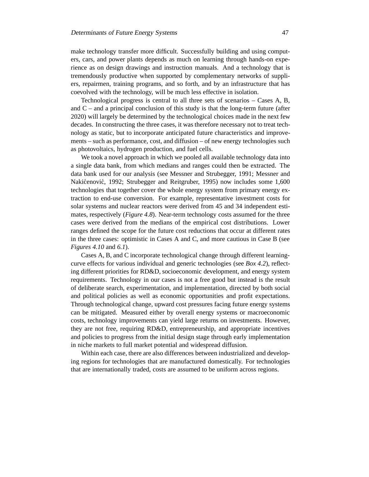make technology transfer more difficult. Successfully building and using computers, cars, and power plants depends as much on learning through hands-on experience as on design drawings and instruction manuals. And a technology that is tremendously productive when supported by complementary networks of suppliers, repairmen, training programs, and so forth, and by an infrastructure that has coevolved with the technology, will be much less effective in isolation.

Technological progress is central to all three sets of scenarios – Cases A, B, and  $C$  – and a principal conclusion of this study is that the long-term future (after 2020) will largely be determined by the technological choices made in the next few decades. In constructing the three cases, it was therefore necessary not to treat technology as static, but to incorporate anticipated future characteristics and improvements – such as performance, cost, and diffusion – of new energy technologies such as photovoltaics, hydrogen production, and fuel cells.

We took a novel approach in which we pooled all available technology data into a single data bank, from which medians and ranges could then be extracted. The data bank used for our analysis (see Messner and Strubegger, 1991; Messner and Nakićenović, 1992; Strubegger and Reitgruber, 1995) now includes some 1,600 technologies that together cover the whole energy system from primary energy extraction to end-use conversion. For example, representative investment costs for solar systems and nuclear reactors were derived from 45 and 34 independent estimates, respectively (*Figure 4.8*). Near-term technology costs assumed for the three cases were derived from the medians of the empirical cost distributions. Lower ranges defined the scope for the future cost reductions that occur at different rates in the three cases: optimistic in Cases A and C, and more cautious in Case B (see *Figures 4.10* and *6.1*).

Cases A, B, and C incorporate technological change through different learningcurve effects for various individual and generic technologies (see *Box 4.2*), reflecting different priorities for RD&D, socioeconomic development, and energy system requirements. Technology in our cases is not a free good but instead is the result of deliberate search, experimentation, and implementation, directed by both social and political policies as well as economic opportunities and profit expectations. Through technological change, upward cost pressures facing future energy systems can be mitigated. Measured either by overall energy systems or macroeconomic costs, technology improvements can yield large returns on investments. However, they are not free, requiring RD&D, entrepreneurship, and appropriate incentives and policies to progress from the initial design stage through early implementation in niche markets to full market potential and widespread diffusion.

Within each case, there are also differences between industrialized and developing regions for technologies that are manufactured domestically. For technologies that are internationally traded, costs are assumed to be uniform across regions.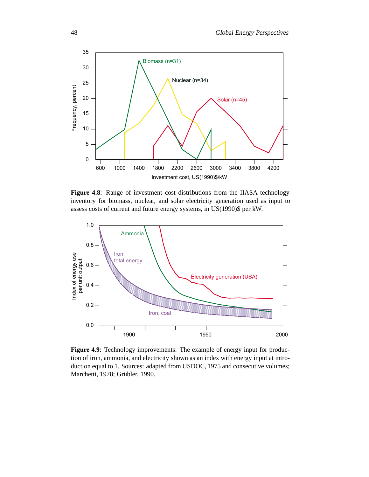

**Figure 4.8**: Range of investment cost distributions from the IIASA technology inventory for biomass, nuclear, and solar electricity generation used as input to assess costs of current and future energy systems, in US(1990)\$ per kW.



**Figure 4.9**: Technology improvements: The example of energy input for production of iron, ammonia, and electricity shown as an index with energy input at introduction equal to 1. Sources: adapted from USDOC, 1975 and consecutive volumes; Marchetti, 1978; Grübler, 1990.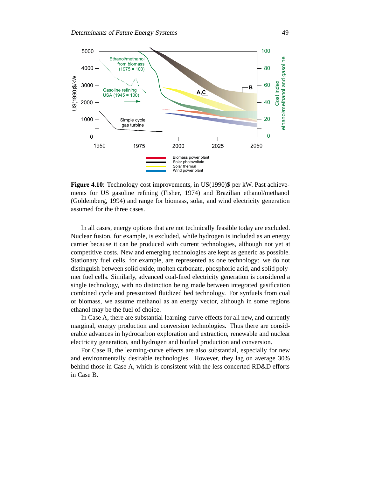

**Figure 4.10**: Technology cost improvements, in US(1990)\$ per kW. Past achievements for US gasoline refining (Fisher, 1974) and Brazilian ethanol/methanol (Goldemberg, 1994) and range for biomass, solar, and wind electricity generation assumed for the three cases.

In all cases, energy options that are not technically feasible today are excluded. Nuclear fusion, for example, is excluded, while hydrogen is included as an energy carrier because it can be produced with current technologies, although not yet at competitive costs. New and emerging technologies are kept as generic as possible. Stationary fuel cells, for example, are represented as one technology: we do not distinguish between solid oxide, molten carbonate, phosphoric acid, and solid polymer fuel cells. Similarly, advanced coal-fired electricity generation is considered a single technology, with no distinction being made between integrated gasification combined cycle and pressurized fluidized bed technology. For synfuels from coal or biomass, we assume methanol as an energy vector, although in some regions ethanol may be the fuel of choice.

In Case A, there are substantial learning-curve effects for all new, and currently marginal, energy production and conversion technologies. Thus there are considerable advances in hydrocarbon exploration and extraction, renewable and nuclear electricity generation, and hydrogen and biofuel production and conversion.

For Case B, the learning-curve effects are also substantial, especially for new and environmentally desirable technologies. However, they lag on average 30% behind those in Case A, which is consistent with the less concerted RD&D efforts in Case B.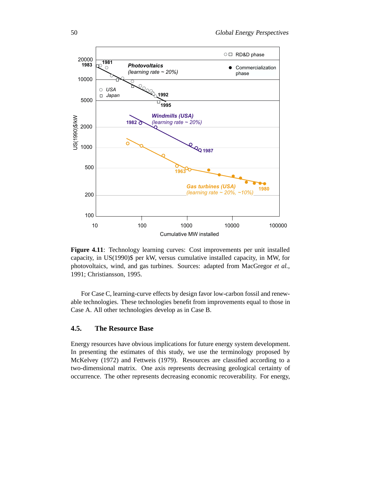

Figure 4.11: Technology learning curves: Cost improvements per unit installed capacity, in US(1990)\$ per kW, versus cumulative installed capacity, in MW, for photovoltaics, wind, and gas turbines. Sources: adapted from MacGregor *et al.*, 1991; Christiansson, 1995.

For Case C, learning-curve effects by design favor low-carbon fossil and renewable technologies. These technologies benefit from improvements equal to those in Case A. All other technologies develop as in Case B.

# **4.5. The Resource Base**

Energy resources have obvious implications for future energy system development. In presenting the estimates of this study, we use the terminology proposed by McKelvey (1972) and Fettweis (1979). Resources are classified according to a two-dimensional matrix. One axis represents decreasing geological certainty of occurrence. The other represents decreasing economic recoverability. For energy,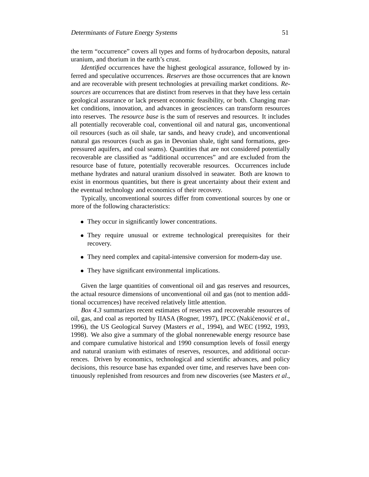the term "occurrence" covers all types and forms of hydrocarbon deposits, natural uranium, and thorium in the earth's crust.

*Identified* occurrences have the highest geological assurance, followed by inferred and speculative occurrences. *Reserves* are those occurrences that are known and are recoverable with present technologies at prevailing market conditions. *Resources* are occurrences that are distinct from reserves in that they have less certain geological assurance or lack present economic feasibility, or both. Changing market conditions, innovation, and advances in geosciences can transform resources into reserves. The *resource base* is the sum of reserves and resources. It includes all potentially recoverable coal, conventional oil and natural gas, unconventional oil resources (such as oil shale, tar sands, and heavy crude), and unconventional natural gas resources (such as gas in Devonian shale, tight sand formations, geopressured aquifers, and coal seams). Quantities that are not considered potentially recoverable are classified as "additional occurrences" and are excluded from the resource base of future, potentially recoverable resources. Occurrences include methane hydrates and natural uranium dissolved in seawater. Both are known to exist in enormous quantities, but there is great uncertainty about their extent and the eventual technology and economics of their recovery.

Typically, unconventional sources differ from conventional sources by one or more of the following characteristics:

- They occur in significantly lower concentrations.
- They require unusual or extreme technological prerequisites for their recovery.
- They need complex and capital-intensive conversion for modern-day use.
- They have significant environmental implications.

Given the large quantities of conventional oil and gas reserves and resources, the actual resource dimensions of unconventional oil and gas (not to mention additional occurrences) have received relatively little attention.

*Box 4.3* summarizes recent estimates of reserves and recoverable resources of oil, gas, and coal as reported by IIASA (Rogner, 1997), IPCC (Nakićenović et al., 1996), the US Geological Survey (Masters *et al*., 1994), and WEC (1992, 1993, 1998). We also give a summary of the global nonrenewable energy resource base and compare cumulative historical and 1990 consumption levels of fossil energy and natural uranium with estimates of reserves, resources, and additional occurrences. Driven by economics, technological and scientific advances, and policy decisions, this resource base has expanded over time, and reserves have been continuously replenished from resources and from new discoveries (see Masters *et al*.,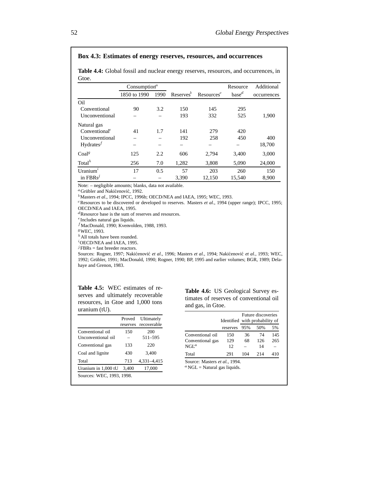#### **Box 4.3: Estimates of energy reserves, resources, and occurrences**

**Table 4.4:** Global fossil and nuclear energy reserves, resources, and occurrences, in Gtoe.

|                           | Consumption $a$ |      |                       |                        | Resource          | Additional  |
|---------------------------|-----------------|------|-----------------------|------------------------|-------------------|-------------|
|                           | 1850 to 1990    | 1990 | Reserves <sup>b</sup> | Resources <sup>c</sup> | base <sup>d</sup> | occurrences |
| Oil                       |                 |      |                       |                        |                   |             |
| Conventional              | 90              | 3.2  | 150                   | 145                    | 295               |             |
| Unconventional            |                 |      | 193                   | 332                    | 525               | 1,900       |
| Natural gas               |                 |      |                       |                        |                   |             |
| Conventional <sup>e</sup> | 41              | 1.7  | 141                   | 279                    | 420               |             |
| Unconventional            |                 |      | 192                   | 258                    | 450               | 400         |
| Hydrates <sup>f</sup>     |                 |      |                       |                        |                   | 18,700      |
| Coal <sup>g</sup>         | 125             | 2.2  | 606                   | 2,794                  | 3,400             | 3,000       |
| Total $^h$                | 256             | 7.0  | 1,282                 | 3,808                  | 5,090             | 24,000      |
| Uranium $i$               | 17              | 0.5  | 57                    | 203                    | 260               | 150         |
| in $FBRs^j$               |                 |      | 3.390                 | 12.150                 | 15.540            | 8,900       |

Note: – negligible amounts; blanks, data not available.

<sup>a</sup> Grübler and Nakićenović, 1992.

b Masters *et al*., 1994; IPCC, 1996b; OECD/NEA and IAEA, 1995; WEC, 1993.

c Resources to be discovered or developed to reserves. Masters *et al*., 1994 (upper range); IPCC, 1995; OECD/NEA and IAEA, 1995.

d Resource base is the sum of reserves and resources.

e Includes natural gas liquids.

 $<sup>f</sup>$ MacDonald, 1990; Kvenvolden, 1988, 1993.</sup>

g WEC, 1993.

h All totals have been rounded.

i OECD/NEA and IAEA, 1995.

 $J$ FBRs = fast breeder reactors.

Sources: Rogner, 1997; Nakićenović et al., 1996; Masters et al., 1994; Nakićenović et al., 1993; WEC, 1992; Grübler, 1991; MacDonald, 1990; Rogner, 1990; BP, 1995 and earlier volumes; BGR, 1989; Delahaye and Grenon, 1983.

**Table 4.5:** WEC estimates of reserves and ultimately recoverable resources, in Gtoe and 1,000 tons uranium (tU).

| Proved<br>reserves        | Ultimately<br>recoverable |  |  |  |  |  |
|---------------------------|---------------------------|--|--|--|--|--|
| 150                       | 200                       |  |  |  |  |  |
|                           | 511-595                   |  |  |  |  |  |
| 133                       | 220                       |  |  |  |  |  |
| 430                       | 3,400                     |  |  |  |  |  |
| 713                       | 4,331-4,415               |  |  |  |  |  |
| 3,400                     | 17,000                    |  |  |  |  |  |
| Sources: WEC, 1993, 1998. |                           |  |  |  |  |  |
|                           |                           |  |  |  |  |  |

**Table 4.6:** US Geological Survey estimates of reserves of conventional oil and gas, in Gtoe.

|                  | Future discoveries<br>Identified with probability of |     |     |     |  |
|------------------|------------------------------------------------------|-----|-----|-----|--|
|                  | reserves                                             | 95% | 50% | 5%  |  |
| Conventional oil | 150                                                  | 36  | 74  | 145 |  |
| Conventional gas | 129                                                  | 68  | 126 | 265 |  |
| $NGL^a$          | 12                                                   |     | 14  |     |  |
| Total            | 291                                                  | 104 | 214 | 410 |  |

Source: Masters *et al.*, 1994.  ${}^a$  NGL = Natural gas liquids.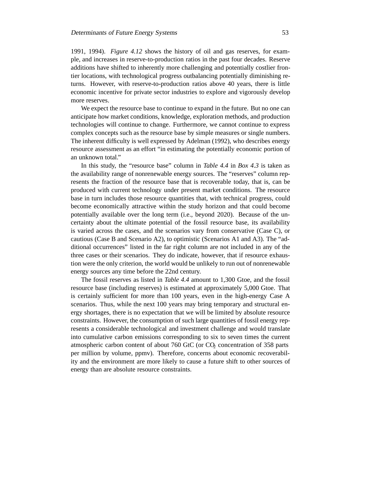1991, 1994). *Figure 4.12* shows the history of oil and gas reserves, for example, and increases in reserve-to-production ratios in the past four decades. Reserve additions have shifted to inherently more challenging and potentially costlier frontier locations, with technological progress outbalancing potentially diminishing returns. However, with reserve-to-production ratios above 40 years, there is little economic incentive for private sector industries to explore and vigorously develop more reserves.

We expect the resource base to continue to expand in the future. But no one can anticipate how market conditions, knowledge, exploration methods, and production technologies will continue to change. Furthermore, we cannot continue to express complex concepts such as the resource base by simple measures or single numbers. The inherent difficulty is well expressed by Adelman (1992), who describes energy resource assessment as an effort "in estimating the potentially economic portion of an unknown total."

In this study, the "resource base" column in *Table 4.4* in *Box 4.3* is taken as the availability range of nonrenewable energy sources. The "reserves" column represents the fraction of the resource base that is recoverable today, that is, can be produced with current technology under present market conditions. The resource base in turn includes those resource quantities that, with technical progress, could become economically attractive within the study horizon and that could become potentially available over the long term (i.e., beyond 2020). Because of the uncertainty about the ultimate potential of the fossil resource base, its availability is varied across the cases, and the scenarios vary from conservative (Case C), or cautious (Case B and Scenario A2), to optimistic (Scenarios A1 and A3). The "additional occurrences" listed in the far right column are not included in any of the three cases or their scenarios. They do indicate, however, that if resource exhaustion were the only criterion, the world would be unlikely to run out of nonrenewable energy sources any time before the 22nd century.

The fossil reserves as listed in *Table 4.4* amount to 1,300 Gtoe, and the fossil resource base (including reserves) is estimated at approximately 5,000 Gtoe. That is certainly sufficient for more than 100 years, even in the high-energy Case A scenarios. Thus, while the next 100 years may bring temporary and structural energy shortages, there is no expectation that we will be limited by absolute resource constraints. However, the consumption of such large quantities of fossil energy represents a considerable technological and investment challenge and would translate into cumulative carbon emissions corresponding to six to seven times the current atmospheric carbon content of about  $760$   $GtC$  (or  $CO<sub>2</sub>$  concentration of  $358$  parts per million by volume, ppmv). Therefore, concerns about economic recoverability and the environment are more likely to cause a future shift to other sources of energy than are absolute resource constraints.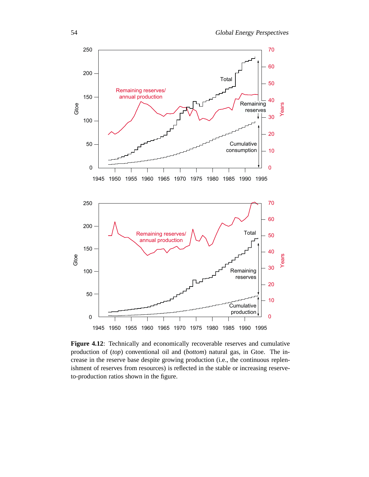

**Figure 4.12**: Technically and economically recoverable reserves and cumulative production of (*top*) conventional oil and (*bottom*) natural gas, in Gtoe. The increase in the reserve base despite growing production (i.e., the continuous replenishment of reserves from resources) is reflected in the stable or increasing reserveto-production ratios shown in the figure.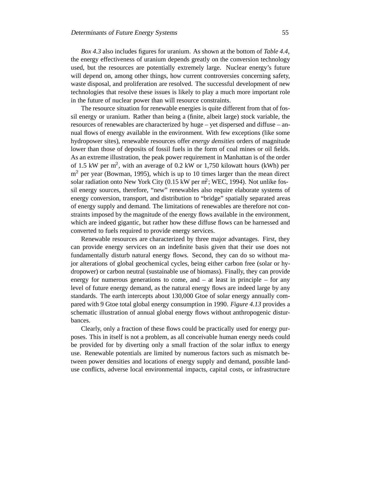*Box 4.3* also includes figures for uranium. As shown at the bottom of *Table 4.4*, the energy effectiveness of uranium depends greatly on the conversion technology used, but the resources are potentially extremely large. Nuclear energy's future will depend on, among other things, how current controversies concerning safety, waste disposal, and proliferation are resolved. The successful development of new technologies that resolve these issues is likely to play a much more important role in the future of nuclear power than will resource constraints.

The resource situation for renewable energies is quite different from that of fossil energy or uranium. Rather than being a (finite, albeit large) stock variable, the resources of renewables are characterized by huge – yet dispersed and diffuse – annual flows of energy available in the environment. With few exceptions (like some hydropower sites), renewable resources offer *energy densities* orders of magnitude lower than those of deposits of fossil fuels in the form of coal mines or oil fields. As an extreme illustration, the peak power requirement in Manhattan is of the order of 1.5 kW per  $m^2$ , with an average of 0.2 kW or 1,750 kilowatt hours (kWh) per  $m<sup>2</sup>$  per year (Bowman, 1995), which is up to 10 times larger than the mean direct solar radiation onto New York City (0.15 kW per m<sup>2</sup>; WEC, 1994). Not unlike fossil energy sources, therefore, "new" renewables also require elaborate systems of energy conversion, transport, and distribution to "bridge" spatially separated areas of energy supply and demand. The limitations of renewables are therefore not constraints imposed by the magnitude of the energy flows available in the environment, which are indeed gigantic, but rather how these diffuse flows can be harnessed and converted to fuels required to provide energy services.

Renewable resources are characterized by three major advantages. First, they can provide energy services on an indefinite basis given that their use does not fundamentally disturb natural energy flows. Second, they can do so without major alterations of global geochemical cycles, being either carbon free (solar or hydropower) or carbon neutral (sustainable use of biomass). Finally, they can provide energy for numerous generations to come, and – at least in principle – for any level of future energy demand, as the natural energy flows are indeed large by any standards. The earth intercepts about 130,000 Gtoe of solar energy annually compared with 9 Gtoe total global energy consumption in 1990. *Figure 4.13* provides a schematic illustration of annual global energy flows without anthropogenic disturbances.

Clearly, only a fraction of these flows could be practically used for energy purposes. This in itself is not a problem, as all conceivable human energy needs could be provided for by diverting only a small fraction of the solar influx to energy use. Renewable potentials are limited by numerous factors such as mismatch between power densities and locations of energy supply and demand, possible landuse conflicts, adverse local environmental impacts, capital costs, or infrastructure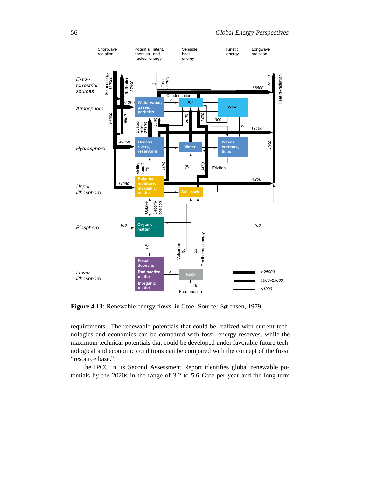

**Figure 4.13**: Renewable energy flows, in Gtoe. Source: Sørensen, 1979.

requirements. The renewable potentials that could be realized with current technologies and economics can be compared with fossil energy reserves, while the maximum technical potentials that could be developed under favorable future technological and economic conditions can be compared with the concept of the fossil "resource base."

The IPCC in its Second Assessment Report identifies global renewable potentials by the 2020s in the range of 3.2 to 5.6 Gtoe per year and the long-term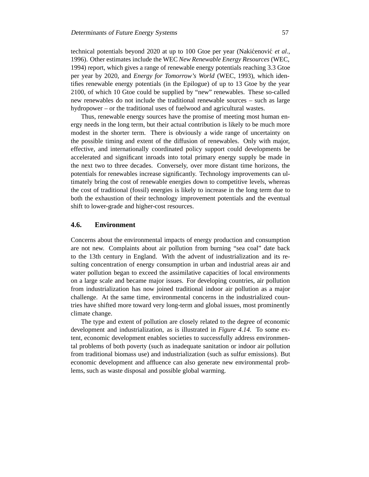technical potentials beyond 2020 at up to 100 Gtoe per year (Nakićenović *et al.*, 1996). Other estimates include the WEC *New Renewable Energy Resources* (WEC, 1994) report, which gives a range of renewable energy potentials reaching 3.3 Gtoe per year by 2020, and *Energy for Tomorrow's World* (WEC, 1993), which identifies renewable energy potentials (in the Epilogue) of up to 13 Gtoe by the year 2100, of which 10 Gtoe could be supplied by "new" renewables. These so-called new renewables do not include the traditional renewable sources – such as large hydropower – or the traditional uses of fuelwood and agricultural wastes.

Thus, renewable energy sources have the promise of meeting most human energy needs in the long term, but their actual contribution is likely to be much more modest in the shorter term. There is obviously a wide range of uncertainty on the possible timing and extent of the diffusion of renewables. Only with major, effective, and internationally coordinated policy support could developments be accelerated and significant inroads into total primary energy supply be made in the next two to three decades. Conversely, over more distant time horizons, the potentials for renewables increase significantly. Technology improvements can ultimately bring the cost of renewable energies down to competitive levels, whereas the cost of traditional (fossil) energies is likely to increase in the long term due to both the exhaustion of their technology improvement potentials and the eventual shift to lower-grade and higher-cost resources.

# **4.6. Environment**

Concerns about the environmental impacts of energy production and consumption are not new. Complaints about air pollution from burning "sea coal" date back to the 13th century in England. With the advent of industrialization and its resulting concentration of energy consumption in urban and industrial areas air and water pollution began to exceed the assimilative capacities of local environments on a large scale and became major issues. For developing countries, air pollution from industrialization has now joined traditional indoor air pollution as a major challenge. At the same time, environmental concerns in the industrialized countries have shifted more toward very long-term and global issues, most prominently climate change.

The type and extent of pollution are closely related to the degree of economic development and industrialization, as is illustrated in *Figure 4.14*. To some extent, economic development enables societies to successfully address environmental problems of both poverty (such as inadequate sanitation or indoor air pollution from traditional biomass use) and industrialization (such as sulfur emissions). But economic development and affluence can also generate new environmental problems, such as waste disposal and possible global warming.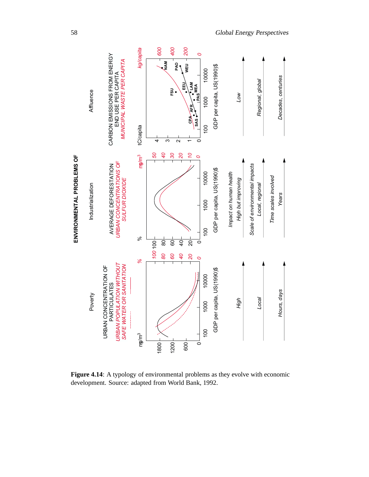

Figure 4.14: A typology of environmental problems as they evolve with economic development. Source: adapted from World Bank, 1992.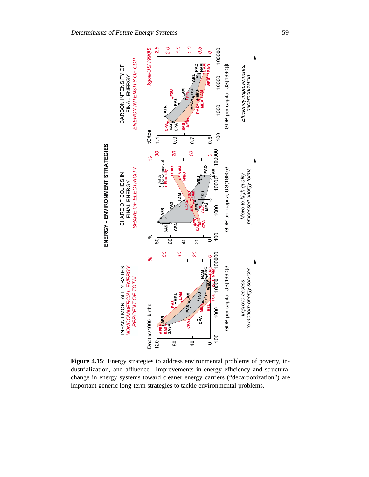

Figure 4.15: Energy strategies to address environmental problems of poverty, industrialization, and affluence. Improvements in energy efficiency and structural change in energy systems toward cleaner energy carriers ("decarbonization") are important generic long-term strategies to tackle environmental problems.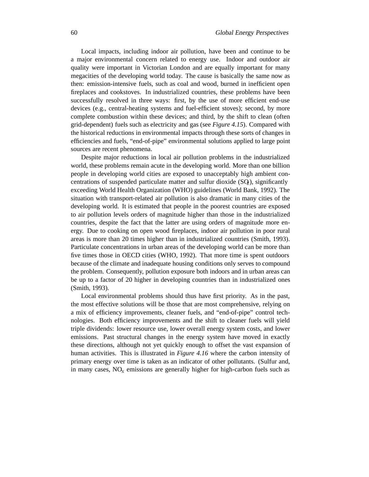Local impacts, including indoor air pollution, have been and continue to be a major environmental concern related to energy use. Indoor and outdoor air quality were important in Victorian London and are equally important for many megacities of the developing world today. The cause is basically the same now as then: emission-intensive fuels, such as coal and wood, burned in inefficient open fireplaces and cookstoves. In industrialized countries, these problems have been successfully resolved in three ways: first, by the use of more efficient end-use devices (e.g., central-heating systems and fuel-efficient stoves); second, by more complete combustion within these devices; and third, by the shift to clean (often grid-dependent) fuels such as electricity and gas (see *Figure 4.15*). Compared with the historical reductions in environmental impacts through these sorts of changes in efficiencies and fuels, "end-of-pipe" environmental solutions applied to large point sources are recent phenomena.

Despite major reductions in local air pollution problems in the industrialized world, these problems remain acute in the developing world. More than one billion people in developing world cities are exposed to unacceptably high ambient concentrations of suspended particulate matter and sulfur dioxide  $(SQ)$ , significantly exceeding World Health Organization (WHO) guidelines (World Bank, 1992). The situation with transport-related air pollution is also dramatic in many cities of the developing world. It is estimated that people in the poorest countries are exposed to air pollution levels orders of magnitude higher than those in the industrialized countries, despite the fact that the latter are using orders of magnitude more energy. Due to cooking on open wood fireplaces, indoor air pollution in poor rural areas is more than 20 times higher than in industrialized countries (Smith, 1993). Particulate concentrations in urban areas of the developing world can be more than five times those in OECD cities (WHO, 1992). That more time is spent outdoors because of the climate and inadequate housing conditions only serves to compound the problem. Consequently, pollution exposure both indoors and in urban areas can be up to a factor of 20 higher in developing countries than in industrialized ones (Smith, 1993).

Local environmental problems should thus have first priority. As in the past, the most effective solutions will be those that are most comprehensive, relying on a mix of efficiency improvements, cleaner fuels, and "end-of-pipe" control technologies. Both efficiency improvements and the shift to cleaner fuels will yield triple dividends: lower resource use, lower overall energy system costs, and lower emissions. Past structural changes in the energy system have moved in exactly these directions, although not yet quickly enough to offset the vast expansion of human activities. This is illustrated in *Figure 4.16* where the carbon intensity of primary energy over time is taken as an indicator of other pollutants. (Sulfur and, in many cases,  $NO<sub>x</sub>$  emissions are generally higher for high-carbon fuels such as